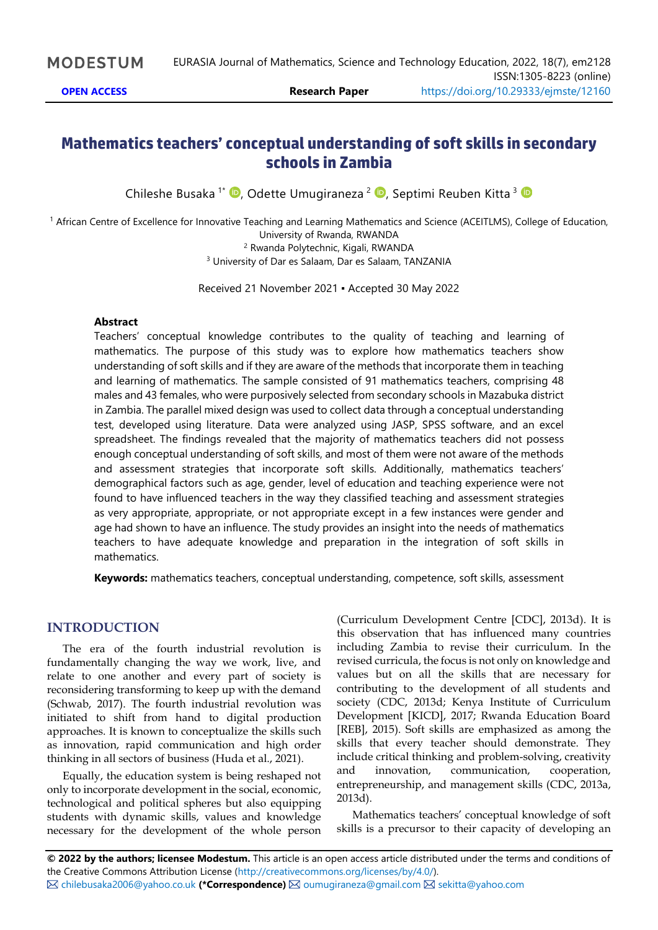# **Mathematics teachers' conceptual understanding of soft skills in secondary schools in Zambia**

Chileshe Busaka <sup>1\*</sup> (D[,](https://orcid.org/0000-0002-6119-6380) Odette Umugiraneza <sup>2</sup> (D, Septimi Reuben Kitta <sup>3</sup>

<sup>1</sup> African Centre of Excellence for Innovative Teaching and Learning Mathematics and Science (ACEITLMS), College of Education, University of Rwanda, RWANDA

<sup>2</sup> Rwanda Polytechnic, Kigali, RWANDA <sup>3</sup> University of Dar es Salaam, Dar es Salaam, TANZANIA

Received 21 November 2021 ▪ Accepted 30 May 2022

#### **Abstract**

Teachers' conceptual knowledge contributes to the quality of teaching and learning of mathematics. The purpose of this study was to explore how mathematics teachers show understanding of soft skills and if they are aware of the methods that incorporate them in teaching and learning of mathematics. The sample consisted of 91 mathematics teachers, comprising 48 males and 43 females, who were purposively selected from secondary schools in Mazabuka district in Zambia. The parallel mixed design was used to collect data through a conceptual understanding test, developed using literature. Data were analyzed using JASP, SPSS software, and an excel spreadsheet. The findings revealed that the majority of mathematics teachers did not possess enough conceptual understanding of soft skills, and most of them were not aware of the methods and assessment strategies that incorporate soft skills. Additionally, mathematics teachers' demographical factors such as age, gender, level of education and teaching experience were not found to have influenced teachers in the way they classified teaching and assessment strategies as very appropriate, appropriate, or not appropriate except in a few instances were gender and age had shown to have an influence. The study provides an insight into the needs of mathematics teachers to have adequate knowledge and preparation in the integration of soft skills in mathematics.

**Keywords:** mathematics teachers, conceptual understanding, competence, soft skills, assessment

# **INTRODUCTION**

The era of the fourth industrial revolution is fundamentally changing the way we work, live, and relate to one another and every part of society is reconsidering transforming to keep up with the demand (Schwab, 2017). The fourth industrial revolution was initiated to shift from hand to digital production approaches. It is known to conceptualize the skills such as innovation, rapid communication and high order thinking in all sectors of business (Huda et al., 2021).

Equally, the education system is being reshaped not only to incorporate development in the social, economic, technological and political spheres but also equipping students with dynamic skills, values and knowledge necessary for the development of the whole person

(Curriculum Development Centre [CDC], 2013d). It is this observation that has influenced many countries including Zambia to revise their curriculum. In the revised curricula, the focus is not only on knowledge and values but on all the skills that are necessary for contributing to the development of all students and society (CDC, 2013d; Kenya Institute of Curriculum Development [KICD], 2017; Rwanda Education Board [REB], 2015). Soft skills are emphasized as among the skills that every teacher should demonstrate. They include critical thinking and problem-solving, creativity and innovation, communication, cooperation, entrepreneurship, and management skills (CDC, 2013a, 2013d).

Mathematics teachers' conceptual knowledge of soft skills is a precursor to their capacity of developing an

**© 2022 by the authors; licensee Modestum.** This article is an open access article distributed under the terms and conditions of the Creative Commons Attribution License [\(http://creativecommons.org/licenses/by/4.0/\)](http://creativecommons.org/licenses/by/4.0/).  $\boxtimes$  [chilebusaka2006@yahoo.co.uk](mailto:chilebusaka2006@yahoo.co.uk) (\*Correspondence)  $\boxtimes$  [oumugiraneza@gmail.com](mailto:oumugiraneza@gmail.com)  $\boxtimes$  [sekitta@yahoo.com](mailto:sekitta@yahoo.com)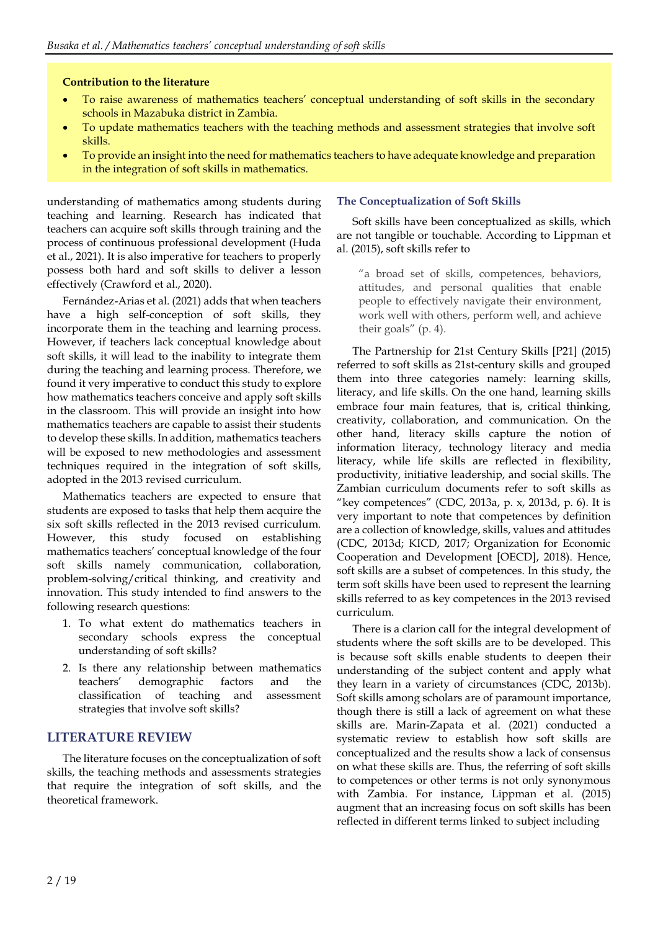#### **Contribution to the literature**

- To raise awareness of mathematics teachers' conceptual understanding of soft skills in the secondary schools in Mazabuka district in Zambia.
- To update mathematics teachers with the teaching methods and assessment strategies that involve soft skills.
- To provide an insight into the need for mathematics teachers to have adequate knowledge and preparation in the integration of soft skills in mathematics.

understanding of mathematics among students during teaching and learning. Research has indicated that teachers can acquire soft skills through training and the process of continuous professional development (Huda et al., 2021). It is also imperative for teachers to properly possess both hard and soft skills to deliver a lesson effectively (Crawford et al., 2020).

Fernández-Arias et al. (2021) adds that when teachers have a high self-conception of soft skills, they incorporate them in the teaching and learning process. However, if teachers lack conceptual knowledge about soft skills, it will lead to the inability to integrate them during the teaching and learning process. Therefore, we found it very imperative to conduct this study to explore how mathematics teachers conceive and apply soft skills in the classroom. This will provide an insight into how mathematics teachers are capable to assist their students to develop these skills. In addition, mathematics teachers will be exposed to new methodologies and assessment techniques required in the integration of soft skills, adopted in the 2013 revised curriculum.

Mathematics teachers are expected to ensure that students are exposed to tasks that help them acquire the six soft skills reflected in the 2013 revised curriculum. However, this study focused on establishing mathematics teachers' conceptual knowledge of the four soft skills namely communication, collaboration, problem-solving/critical thinking, and creativity and innovation. This study intended to find answers to the following research questions:

- 1. To what extent do mathematics teachers in secondary schools express the conceptual understanding of soft skills?
- 2. Is there any relationship between mathematics teachers' demographic factors and the classification of teaching and assessment strategies that involve soft skills?

# **LITERATURE REVIEW**

The literature focuses on the conceptualization of soft skills, the teaching methods and assessments strategies that require the integration of soft skills, and the theoretical framework.

#### **The Conceptualization of Soft Skills**

Soft skills have been conceptualized as skills, which are not tangible or touchable. According to Lippman et al. (2015), soft skills refer to

"a broad set of skills, competences, behaviors, attitudes, and personal qualities that enable people to effectively navigate their environment, work well with others, perform well, and achieve their goals" (p. 4).

The Partnership for 21st Century Skills [P21] (2015) referred to soft skills as 21st-century skills and grouped them into three categories namely: learning skills, literacy, and life skills. On the one hand, learning skills embrace four main features, that is, critical thinking, creativity, collaboration, and communication. On the other hand, literacy skills capture the notion of information literacy, technology literacy and media literacy, while life skills are reflected in flexibility, productivity, initiative leadership, and social skills. The Zambian curriculum documents refer to soft skills as "key competences" (CDC, 2013a, p. x, 2013d, p. 6). It is very important to note that competences by definition are a collection of knowledge, skills, values and attitudes (CDC, 2013d; KICD, 2017; Organization for Economic Cooperation and Development [OECD], 2018). Hence, soft skills are a subset of competences. In this study, the term soft skills have been used to represent the learning skills referred to as key competences in the 2013 revised curriculum.

There is a clarion call for the integral development of students where the soft skills are to be developed. This is because soft skills enable students to deepen their understanding of the subject content and apply what they learn in a variety of circumstances (CDC, 2013b). Soft skills among scholars are of paramount importance, though there is still a lack of agreement on what these skills are. Marin-Zapata et al. (2021) conducted a systematic review to establish how soft skills are conceptualized and the results show a lack of consensus on what these skills are. Thus, the referring of soft skills to competences or other terms is not only synonymous with Zambia. For instance, Lippman et al. (2015) augment that an increasing focus on soft skills has been reflected in different terms linked to subject including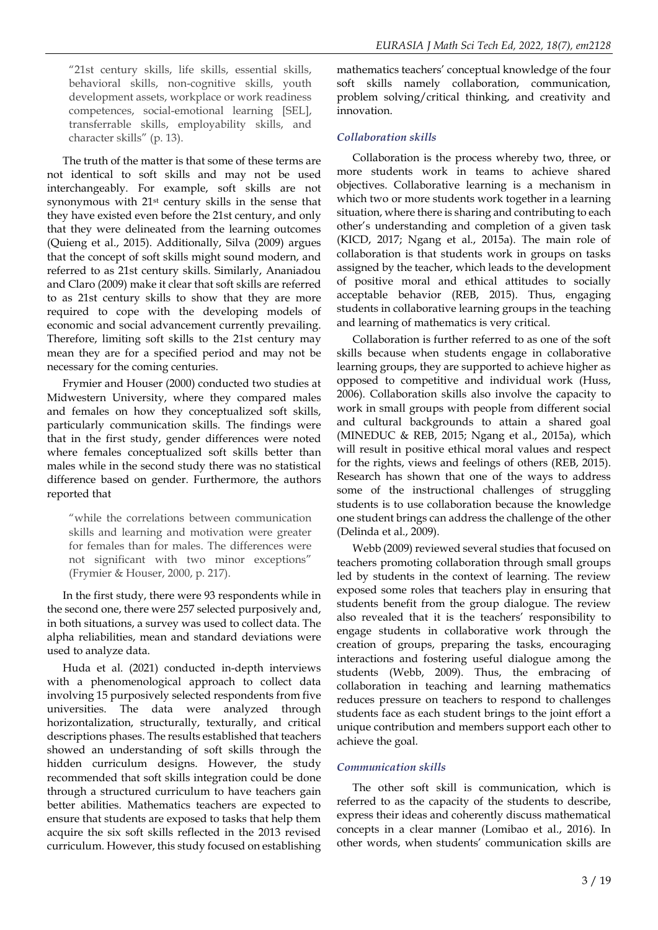"21st century skills, life skills, essential skills, behavioral skills, non-cognitive skills, youth development assets, workplace or work readiness competences, social-emotional learning [SEL], transferrable skills, employability skills, and character skills" (p. 13).

The truth of the matter is that some of these terms are not identical to soft skills and may not be used interchangeably. For example, soft skills are not synonymous with 21st century skills in the sense that they have existed even before the 21st century, and only that they were delineated from the learning outcomes (Quieng et al., 2015). Additionally, Silva (2009) argues that the concept of soft skills might sound modern, and referred to as 21st century skills. Similarly, Ananiadou and Claro (2009) make it clear that soft skills are referred to as 21st century skills to show that they are more required to cope with the developing models of economic and social advancement currently prevailing. Therefore, limiting soft skills to the 21st century may mean they are for a specified period and may not be necessary for the coming centuries.

Frymier and Houser (2000) conducted two studies at Midwestern University, where they compared males and females on how they conceptualized soft skills, particularly communication skills. The findings were that in the first study, gender differences were noted where females conceptualized soft skills better than males while in the second study there was no statistical difference based on gender. Furthermore, the authors reported that

"while the correlations between communication skills and learning and motivation were greater for females than for males. The differences were not significant with two minor exceptions" (Frymier & Houser, 2000, p. 217).

In the first study, there were 93 respondents while in the second one, there were 257 selected purposively and, in both situations, a survey was used to collect data. The alpha reliabilities, mean and standard deviations were used to analyze data.

Huda et al. (2021) conducted in-depth interviews with a phenomenological approach to collect data involving 15 purposively selected respondents from five universities. The data were analyzed through horizontalization, structurally, texturally, and critical descriptions phases. The results established that teachers showed an understanding of soft skills through the hidden curriculum designs. However, the study recommended that soft skills integration could be done through a structured curriculum to have teachers gain better abilities. Mathematics teachers are expected to ensure that students are exposed to tasks that help them acquire the six soft skills reflected in the 2013 revised curriculum. However, this study focused on establishing

mathematics teachers' conceptual knowledge of the four soft skills namely collaboration, communication, problem solving/critical thinking, and creativity and innovation.

### *Collaboration skills*

Collaboration is the process whereby two, three, or more students work in teams to achieve shared objectives. Collaborative learning is a mechanism in which two or more students work together in a learning situation, where there is sharing and contributing to each other's understanding and completion of a given task (KICD, 2017; Ngang et al., 2015a). The main role of collaboration is that students work in groups on tasks assigned by the teacher, which leads to the development of positive moral and ethical attitudes to socially acceptable behavior (REB, 2015). Thus, engaging students in collaborative learning groups in the teaching and learning of mathematics is very critical.

Collaboration is further referred to as one of the soft skills because when students engage in collaborative learning groups, they are supported to achieve higher as opposed to competitive and individual work (Huss, 2006). Collaboration skills also involve the capacity to work in small groups with people from different social and cultural backgrounds to attain a shared goal (MINEDUC & REB, 2015; Ngang et al., 2015a), which will result in positive ethical moral values and respect for the rights, views and feelings of others (REB, 2015). Research has shown that one of the ways to address some of the instructional challenges of struggling students is to use collaboration because the knowledge one student brings can address the challenge of the other (Delinda et al., 2009).

Webb (2009) reviewed several studies that focused on teachers promoting collaboration through small groups led by students in the context of learning. The review exposed some roles that teachers play in ensuring that students benefit from the group dialogue. The review also revealed that it is the teachers' responsibility to engage students in collaborative work through the creation of groups, preparing the tasks, encouraging interactions and fostering useful dialogue among the students (Webb, 2009). Thus, the embracing of collaboration in teaching and learning mathematics reduces pressure on teachers to respond to challenges students face as each student brings to the joint effort a unique contribution and members support each other to achieve the goal.

#### *Communication skills*

The other soft skill is communication, which is referred to as the capacity of the students to describe, express their ideas and coherently discuss mathematical concepts in a clear manner (Lomibao et al., 2016). In other words, when students' communication skills are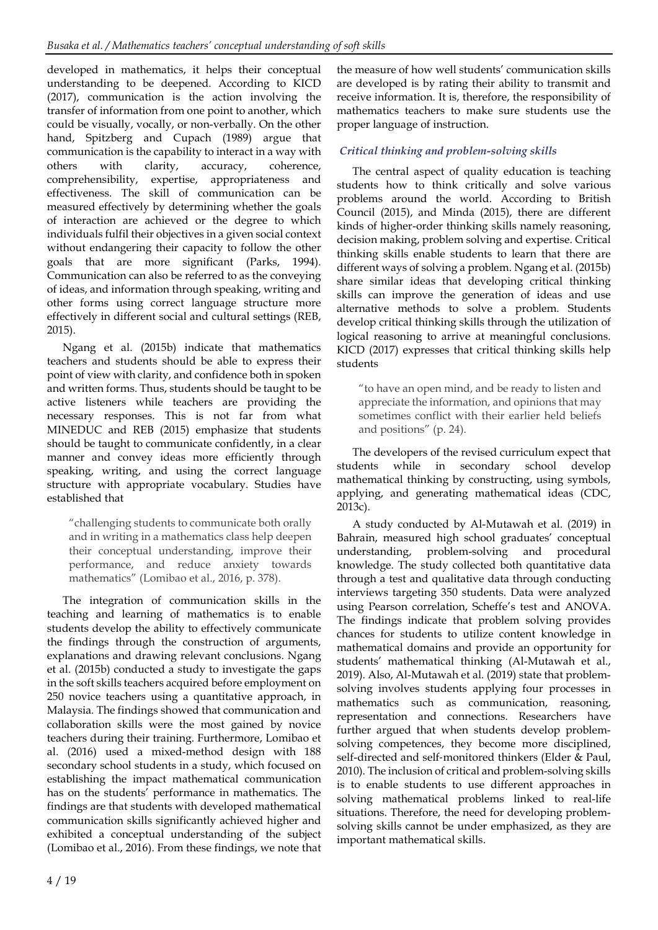developed in mathematics, it helps their conceptual understanding to be deepened. According to KICD (2017), communication is the action involving the transfer of information from one point to another, which could be visually, vocally, or non-verbally. On the other hand, Spitzberg and Cupach (1989) argue that communication is the capability to interact in a way with others with clarity, accuracy, coherence, comprehensibility, expertise, appropriateness and effectiveness. The skill of communication can be measured effectively by determining whether the goals of interaction are achieved or the degree to which individuals fulfil their objectives in a given social context without endangering their capacity to follow the other goals that are more significant (Parks, 1994). Communication can also be referred to as the conveying of ideas, and information through speaking, writing and other forms using correct language structure more effectively in different social and cultural settings (REB, 2015).

Ngang et al. (2015b) indicate that mathematics teachers and students should be able to express their point of view with clarity, and confidence both in spoken and written forms. Thus, students should be taught to be active listeners while teachers are providing the necessary responses. This is not far from what MINEDUC and REB (2015) emphasize that students should be taught to communicate confidently, in a clear manner and convey ideas more efficiently through speaking, writing, and using the correct language structure with appropriate vocabulary. Studies have established that

"challenging students to communicate both orally and in writing in a mathematics class help deepen their conceptual understanding, improve their performance, and reduce anxiety towards mathematics" (Lomibao et al., 2016, p. 378).

The integration of communication skills in the teaching and learning of mathematics is to enable students develop the ability to effectively communicate the findings through the construction of arguments, explanations and drawing relevant conclusions. Ngang et al. (2015b) conducted a study to investigate the gaps in the soft skills teachers acquired before employment on 250 novice teachers using a quantitative approach, in Malaysia. The findings showed that communication and collaboration skills were the most gained by novice teachers during their training. Furthermore, Lomibao et al. (2016) used a mixed-method design with 188 secondary school students in a study, which focused on establishing the impact mathematical communication has on the students' performance in mathematics. The findings are that students with developed mathematical communication skills significantly achieved higher and exhibited a conceptual understanding of the subject (Lomibao et al., 2016). From these findings, we note that

the measure of how well students' communication skills are developed is by rating their ability to transmit and receive information. It is, therefore, the responsibility of mathematics teachers to make sure students use the proper language of instruction.

# *Critical thinking and problem-solving skills*

The central aspect of quality education is teaching students how to think critically and solve various problems around the world. According to British Council (2015), and Minda (2015), there are different kinds of higher-order thinking skills namely reasoning, decision making, problem solving and expertise. Critical thinking skills enable students to learn that there are different ways of solving a problem. Ngang et al. (2015b) share similar ideas that developing critical thinking skills can improve the generation of ideas and use alternative methods to solve a problem. Students develop critical thinking skills through the utilization of logical reasoning to arrive at meaningful conclusions. KICD (2017) expresses that critical thinking skills help students

"to have an open mind, and be ready to listen and appreciate the information, and opinions that may sometimes conflict with their earlier held beliefs and positions" (p. 24).

The developers of the revised curriculum expect that students while in secondary school develop mathematical thinking by constructing, using symbols, applying, and generating mathematical ideas (CDC, 2013c).

A study conducted by Al-Mutawah et al. (2019) in Bahrain, measured high school graduates' conceptual understanding, problem-solving and procedural knowledge. The study collected both quantitative data through a test and qualitative data through conducting interviews targeting 350 students. Data were analyzed using Pearson correlation, Scheffe's test and ANOVA. The findings indicate that problem solving provides chances for students to utilize content knowledge in mathematical domains and provide an opportunity for students' mathematical thinking (Al-Mutawah et al., 2019). Also, Al-Mutawah et al. (2019) state that problemsolving involves students applying four processes in mathematics such as communication, reasoning, representation and connections. Researchers have further argued that when students develop problemsolving competences, they become more disciplined, self-directed and self-monitored thinkers (Elder & Paul, 2010). The inclusion of critical and problem-solving skills is to enable students to use different approaches in solving mathematical problems linked to real-life situations. Therefore, the need for developing problemsolving skills cannot be under emphasized, as they are important mathematical skills.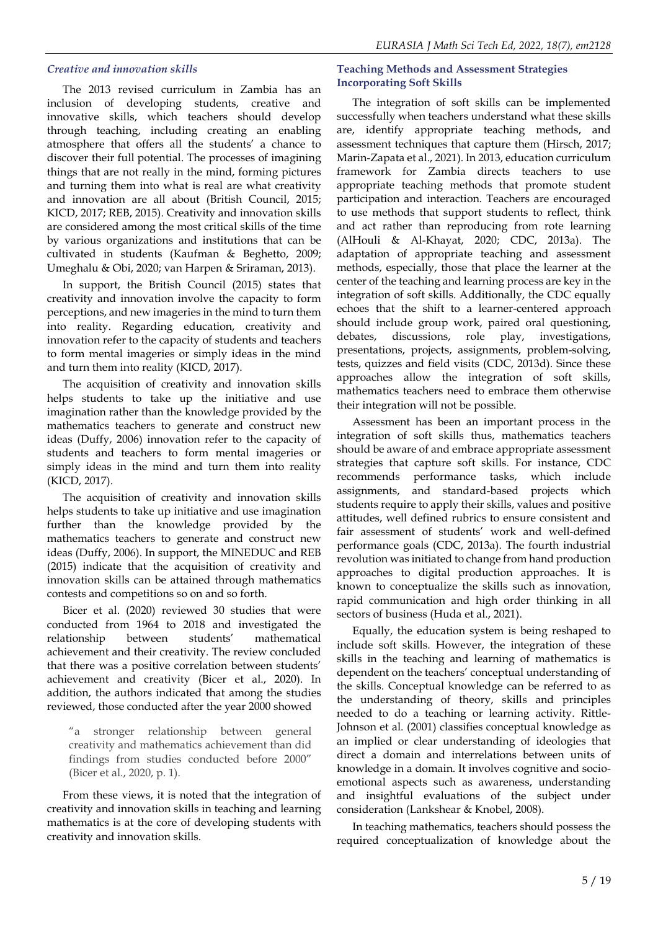#### *Creative and innovation skills*

The 2013 revised curriculum in Zambia has an inclusion of developing students, creative and innovative skills, which teachers should develop through teaching, including creating an enabling atmosphere that offers all the students' a chance to discover their full potential. The processes of imagining things that are not really in the mind, forming pictures and turning them into what is real are what creativity and innovation are all about (British Council, 2015; KICD, 2017; REB, 2015). Creativity and innovation skills are considered among the most critical skills of the time by various organizations and institutions that can be cultivated in students (Kaufman & Beghetto, 2009; Umeghalu & Obi, 2020; van Harpen & Sriraman, 2013).

In support, the British Council (2015) states that creativity and innovation involve the capacity to form perceptions, and new imageries in the mind to turn them into reality. Regarding education, creativity and innovation refer to the capacity of students and teachers to form mental imageries or simply ideas in the mind and turn them into reality (KICD, 2017).

The acquisition of creativity and innovation skills helps students to take up the initiative and use imagination rather than the knowledge provided by the mathematics teachers to generate and construct new ideas (Duffy, 2006) innovation refer to the capacity of students and teachers to form mental imageries or simply ideas in the mind and turn them into reality (KICD, 2017).

The acquisition of creativity and innovation skills helps students to take up initiative and use imagination further than the knowledge provided by the mathematics teachers to generate and construct new ideas (Duffy, 2006). In support, the MINEDUC and REB (2015) indicate that the acquisition of creativity and innovation skills can be attained through mathematics contests and competitions so on and so forth.

Bicer et al. (2020) reviewed 30 studies that were conducted from 1964 to 2018 and investigated the relationship between students' mathematical achievement and their creativity. The review concluded that there was a positive correlation between students' achievement and creativity (Bicer et al., 2020). In addition, the authors indicated that among the studies reviewed, those conducted after the year 2000 showed

"a stronger relationship between general creativity and mathematics achievement than did findings from studies conducted before 2000" (Bicer et al., 2020, p. 1).

From these views, it is noted that the integration of creativity and innovation skills in teaching and learning mathematics is at the core of developing students with creativity and innovation skills.

#### **Teaching Methods and Assessment Strategies Incorporating Soft Skills**

The integration of soft skills can be implemented successfully when teachers understand what these skills are, identify appropriate teaching methods, and assessment techniques that capture them (Hirsch, 2017; Marin-Zapata et al., 2021). In 2013, education curriculum framework for Zambia directs teachers to use appropriate teaching methods that promote student participation and interaction. Teachers are encouraged to use methods that support students to reflect, think and act rather than reproducing from rote learning (AlHouli & Al-Khayat, 2020; CDC, 2013a). The adaptation of appropriate teaching and assessment methods, especially, those that place the learner at the center of the teaching and learning process are key in the integration of soft skills. Additionally, the CDC equally echoes that the shift to a learner-centered approach should include group work, paired oral questioning, debates, discussions, role play, investigations, presentations, projects, assignments, problem-solving, tests, quizzes and field visits (CDC, 2013d). Since these approaches allow the integration of soft skills, mathematics teachers need to embrace them otherwise their integration will not be possible.

Assessment has been an important process in the integration of soft skills thus, mathematics teachers should be aware of and embrace appropriate assessment strategies that capture soft skills. For instance, CDC recommends performance tasks, which include assignments, and standard-based projects which students require to apply their skills, values and positive attitudes, well defined rubrics to ensure consistent and fair assessment of students' work and well-defined performance goals (CDC, 2013a). The fourth industrial revolution was initiated to change from hand production approaches to digital production approaches. It is known to conceptualize the skills such as innovation, rapid communication and high order thinking in all sectors of business (Huda et al., 2021).

Equally, the education system is being reshaped to include soft skills. However, the integration of these skills in the teaching and learning of mathematics is dependent on the teachers' conceptual understanding of the skills. Conceptual knowledge can be referred to as the understanding of theory, skills and principles needed to do a teaching or learning activity. Rittle-Johnson et al. (2001) classifies conceptual knowledge as an implied or clear understanding of ideologies that direct a domain and interrelations between units of knowledge in a domain. It involves cognitive and socioemotional aspects such as awareness, understanding and insightful evaluations of the subject under consideration (Lankshear & Knobel, 2008).

In teaching mathematics, teachers should possess the required conceptualization of knowledge about the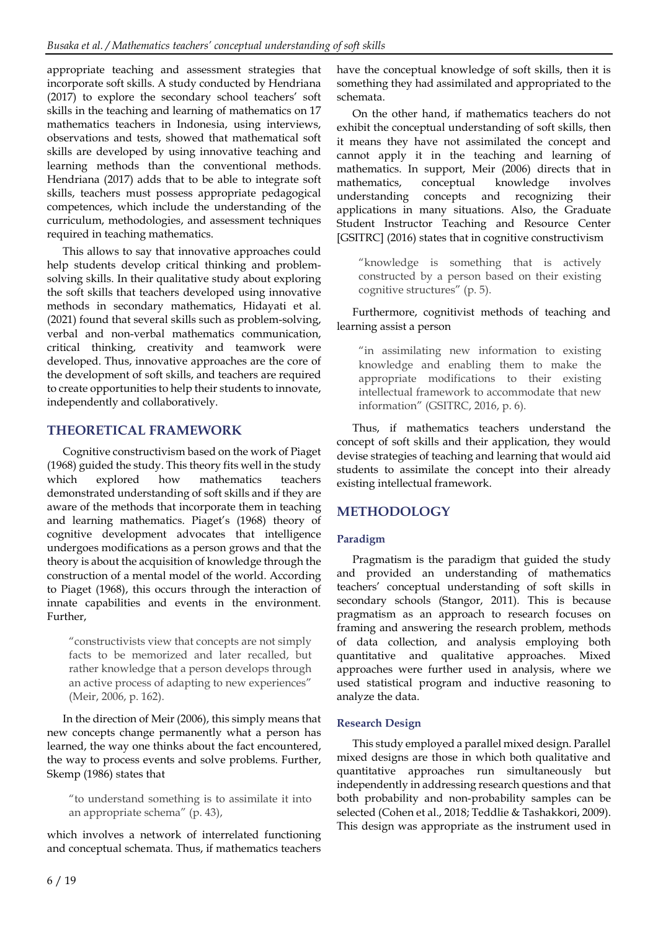appropriate teaching and assessment strategies that incorporate soft skills. A study conducted by Hendriana (2017) to explore the secondary school teachers' soft skills in the teaching and learning of mathematics on 17 mathematics teachers in Indonesia, using interviews, observations and tests, showed that mathematical soft skills are developed by using innovative teaching and learning methods than the conventional methods. Hendriana (2017) adds that to be able to integrate soft skills, teachers must possess appropriate pedagogical competences, which include the understanding of the curriculum, methodologies, and assessment techniques required in teaching mathematics.

This allows to say that innovative approaches could help students develop critical thinking and problemsolving skills. In their qualitative study about exploring the soft skills that teachers developed using innovative methods in secondary mathematics, Hidayati et al. (2021) found that several skills such as problem-solving, verbal and non-verbal mathematics communication, critical thinking, creativity and teamwork were developed. Thus, innovative approaches are the core of the development of soft skills, and teachers are required to create opportunities to help their students to innovate, independently and collaboratively.

# **THEORETICAL FRAMEWORK**

Cognitive constructivism based on the work of Piaget (1968) guided the study. This theory fits well in the study which explored how mathematics teachers demonstrated understanding of soft skills and if they are aware of the methods that incorporate them in teaching and learning mathematics. Piaget's (1968) theory of cognitive development advocates that intelligence undergoes modifications as a person grows and that the theory is about the acquisition of knowledge through the construction of a mental model of the world. According to Piaget (1968), this occurs through the interaction of innate capabilities and events in the environment. Further,

"constructivists view that concepts are not simply facts to be memorized and later recalled, but rather knowledge that a person develops through an active process of adapting to new experiences" (Meir, 2006, p. 162).

In the direction of Meir (2006), this simply means that new concepts change permanently what a person has learned, the way one thinks about the fact encountered, the way to process events and solve problems. Further, Skemp (1986) states that

"to understand something is to assimilate it into an appropriate schema" (p. 43),

which involves a network of interrelated functioning and conceptual schemata. Thus, if mathematics teachers

have the conceptual knowledge of soft skills, then it is something they had assimilated and appropriated to the schemata.

On the other hand, if mathematics teachers do not exhibit the conceptual understanding of soft skills, then it means they have not assimilated the concept and cannot apply it in the teaching and learning of mathematics. In support, Meir (2006) directs that in mathematics, conceptual knowledge involves understanding concepts and recognizing their applications in many situations. Also, the Graduate Student Instructor Teaching and Resource Center [GSITRC] (2016) states that in cognitive constructivism

"knowledge is something that is actively constructed by a person based on their existing cognitive structures" (p. 5).

Furthermore, cognitivist methods of teaching and learning assist a person

"in assimilating new information to existing knowledge and enabling them to make the appropriate modifications to their existing intellectual framework to accommodate that new information" (GSITRC, 2016, p. 6).

Thus, if mathematics teachers understand the concept of soft skills and their application, they would devise strategies of teaching and learning that would aid students to assimilate the concept into their already existing intellectual framework.

# **METHODOLOGY**

# **Paradigm**

Pragmatism is the paradigm that guided the study and provided an understanding of mathematics teachers' conceptual understanding of soft skills in secondary schools (Stangor, 2011). This is because pragmatism as an approach to research focuses on framing and answering the research problem, methods of data collection, and analysis employing both quantitative and qualitative approaches. Mixed approaches were further used in analysis, where we used statistical program and inductive reasoning to analyze the data.

# **Research Design**

This study employed a parallel mixed design. Parallel mixed designs are those in which both qualitative and quantitative approaches run simultaneously but independently in addressing research questions and that both probability and non-probability samples can be selected (Cohen et al., 2018; Teddlie & Tashakkori, 2009). This design was appropriate as the instrument used in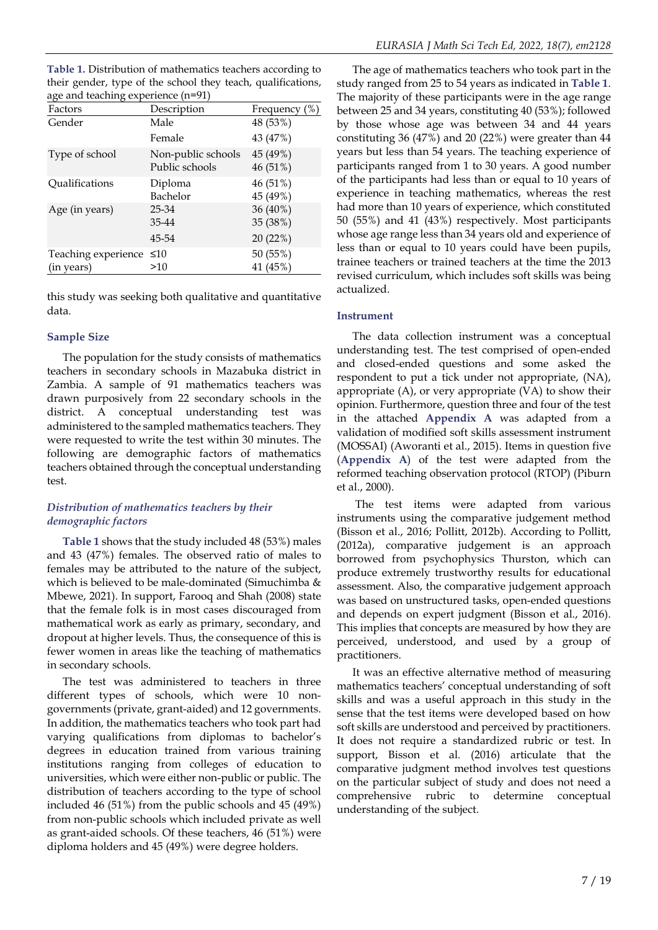| Table 1. Distribution of mathematics teachers according to   |
|--------------------------------------------------------------|
| their gender, type of the school they teach, qualifications, |
| age and teaching experience (n=91)                           |

| Factors                 | Description        | $(\%)$<br>Frequency |
|-------------------------|--------------------|---------------------|
| Gender                  | Male               | 48 (53%)            |
|                         | Female             | 43 (47%)            |
| Type of school          | Non-public schools | 45 (49%)            |
|                         | Public schools     | 46 (51%)            |
| Oualifications          | Diploma            | 46 (51%)            |
|                         | Bachelor           | 45 (49%)            |
| Age (in years)          | 25-34              | 36 (40%)            |
|                         | 35-44              | 35 (38%)            |
|                         | 45-54              | 20 (22%)            |
| Teaching experience ≤10 |                    | 50 (55%)            |
| (in years)              | >10                | 41 (45%)            |

this study was seeking both qualitative and quantitative data.

#### **Sample Size**

The population for the study consists of mathematics teachers in secondary schools in Mazabuka district in Zambia. A sample of 91 mathematics teachers was drawn purposively from 22 secondary schools in the district. A conceptual understanding test was administered to the sampled mathematics teachers. They were requested to write the test within 30 minutes. The following are demographic factors of mathematics teachers obtained through the conceptual understanding test.

#### *Distribution of mathematics teachers by their demographic factors*

**Table 1** shows that the study included 48 (53%) males and 43 (47%) females. The observed ratio of males to females may be attributed to the nature of the subject, which is believed to be male-dominated (Simuchimba & Mbewe, 2021). In support, Farooq and Shah (2008) state that the female folk is in most cases discouraged from mathematical work as early as primary, secondary, and dropout at higher levels. Thus, the consequence of this is fewer women in areas like the teaching of mathematics in secondary schools.

The test was administered to teachers in three different types of schools, which were 10 nongovernments (private, grant-aided) and 12 governments. In addition, the mathematics teachers who took part had varying qualifications from diplomas to bachelor's degrees in education trained from various training institutions ranging from colleges of education to universities, which were either non-public or public. The distribution of teachers according to the type of school included 46 (51%) from the public schools and 45 (49%) from non-public schools which included private as well as grant-aided schools. Of these teachers, 46 (51%) were diploma holders and 45 (49%) were degree holders.

The age of mathematics teachers who took part in the study ranged from 25 to 54 years as indicated in **Table 1**. The majority of these participants were in the age range between 25 and 34 years, constituting 40 (53%); followed by those whose age was between 34 and 44 years constituting 36 (47%) and 20 (22%) were greater than 44 years but less than 54 years. The teaching experience of participants ranged from 1 to 30 years. A good number of the participants had less than or equal to 10 years of experience in teaching mathematics, whereas the rest had more than 10 years of experience, which constituted 50 (55%) and 41 (43%) respectively. Most participants whose age range less than 34 years old and experience of less than or equal to 10 years could have been pupils, trainee teachers or trained teachers at the time the 2013 revised curriculum, which includes soft skills was being actualized.

#### **Instrument**

The data collection instrument was a conceptual understanding test. The test comprised of open-ended and closed-ended questions and some asked the respondent to put a tick under not appropriate, (NA), appropriate (A), or very appropriate (VA) to show their opinion. Furthermore, question three and four of the test in the attached **Appendix A** was adapted from a validation of modified soft skills assessment instrument (MOSSAI) (Aworanti et al., 2015). Items in question five (**Appendix A**) of the test were adapted from the reformed teaching observation protocol (RTOP) (Piburn et al., 2000).

The test items were adapted from various instruments using the comparative judgement method (Bisson et al., 2016; Pollitt, 2012b). According to Pollitt, (2012a), comparative judgement is an approach borrowed from psychophysics Thurston, which can produce extremely trustworthy results for educational assessment. Also, the comparative judgement approach was based on unstructured tasks, open-ended questions and depends on expert judgment (Bisson et al., 2016). This implies that concepts are measured by how they are perceived, understood, and used by a group of practitioners.

It was an effective alternative method of measuring mathematics teachers' conceptual understanding of soft skills and was a useful approach in this study in the sense that the test items were developed based on how soft skills are understood and perceived by practitioners. It does not require a standardized rubric or test. In support, Bisson et al. (2016) articulate that the comparative judgment method involves test questions on the particular subject of study and does not need a comprehensive rubric to determine conceptual understanding of the subject.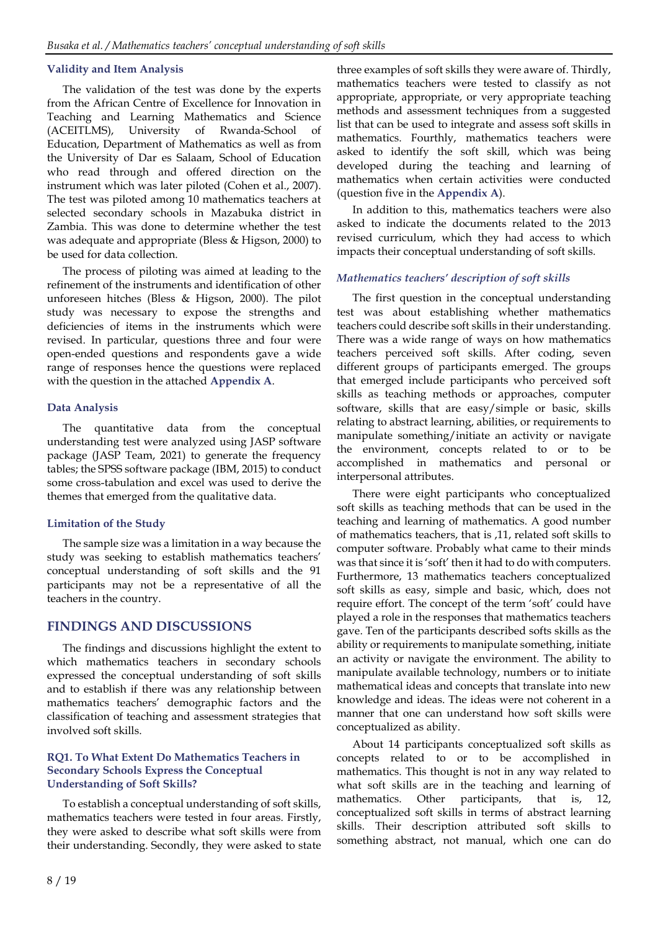#### **Validity and Item Analysis**

The validation of the test was done by the experts from the African Centre of Excellence for Innovation in Teaching and Learning Mathematics and Science (ACEITLMS), University of Rwanda-School of Education, Department of Mathematics as well as from the University of Dar es Salaam, School of Education who read through and offered direction on the instrument which was later piloted (Cohen et al., 2007). The test was piloted among 10 mathematics teachers at selected secondary schools in Mazabuka district in Zambia. This was done to determine whether the test was adequate and appropriate (Bless & Higson, 2000) to be used for data collection.

The process of piloting was aimed at leading to the refinement of the instruments and identification of other unforeseen hitches (Bless & Higson, 2000). The pilot study was necessary to expose the strengths and deficiencies of items in the instruments which were revised. In particular, questions three and four were open-ended questions and respondents gave a wide range of responses hence the questions were replaced with the question in the attached **Appendix A**.

#### **Data Analysis**

The quantitative data from the conceptual understanding test were analyzed using JASP software package (JASP Team, 2021) to generate the frequency tables; the SPSS software package (IBM, 2015) to conduct some cross-tabulation and excel was used to derive the themes that emerged from the qualitative data.

# **Limitation of the Study**

The sample size was a limitation in a way because the study was seeking to establish mathematics teachers' conceptual understanding of soft skills and the 91 participants may not be a representative of all the teachers in the country.

# **FINDINGS AND DISCUSSIONS**

The findings and discussions highlight the extent to which mathematics teachers in secondary schools expressed the conceptual understanding of soft skills and to establish if there was any relationship between mathematics teachers' demographic factors and the classification of teaching and assessment strategies that involved soft skills.

#### **RQ1. To What Extent Do Mathematics Teachers in Secondary Schools Express the Conceptual Understanding of Soft Skills?**

To establish a conceptual understanding of soft skills, mathematics teachers were tested in four areas. Firstly, they were asked to describe what soft skills were from their understanding. Secondly, they were asked to state three examples of soft skills they were aware of. Thirdly, mathematics teachers were tested to classify as not appropriate, appropriate, or very appropriate teaching methods and assessment techniques from a suggested list that can be used to integrate and assess soft skills in mathematics. Fourthly, mathematics teachers were asked to identify the soft skill, which was being developed during the teaching and learning of mathematics when certain activities were conducted (question five in the **Appendix A**).

In addition to this, mathematics teachers were also asked to indicate the documents related to the 2013 revised curriculum, which they had access to which impacts their conceptual understanding of soft skills.

# *Mathematics teachers' description of soft skills*

The first question in the conceptual understanding test was about establishing whether mathematics teachers could describe soft skills in their understanding. There was a wide range of ways on how mathematics teachers perceived soft skills. After coding, seven different groups of participants emerged. The groups that emerged include participants who perceived soft skills as teaching methods or approaches, computer software, skills that are easy/simple or basic, skills relating to abstract learning, abilities, or requirements to manipulate something/initiate an activity or navigate the environment, concepts related to or to be accomplished in mathematics and personal or interpersonal attributes.

There were eight participants who conceptualized soft skills as teaching methods that can be used in the teaching and learning of mathematics. A good number of mathematics teachers, that is ,11, related soft skills to computer software. Probably what came to their minds was that since it is 'soft' then it had to do with computers. Furthermore, 13 mathematics teachers conceptualized soft skills as easy, simple and basic, which, does not require effort. The concept of the term 'soft' could have played a role in the responses that mathematics teachers gave. Ten of the participants described softs skills as the ability or requirements to manipulate something, initiate an activity or navigate the environment. The ability to manipulate available technology, numbers or to initiate mathematical ideas and concepts that translate into new knowledge and ideas. The ideas were not coherent in a manner that one can understand how soft skills were conceptualized as ability.

About 14 participants conceptualized soft skills as concepts related to or to be accomplished in mathematics. This thought is not in any way related to what soft skills are in the teaching and learning of mathematics. Other participants, that is, 12, conceptualized soft skills in terms of abstract learning skills. Their description attributed soft skills to something abstract, not manual, which one can do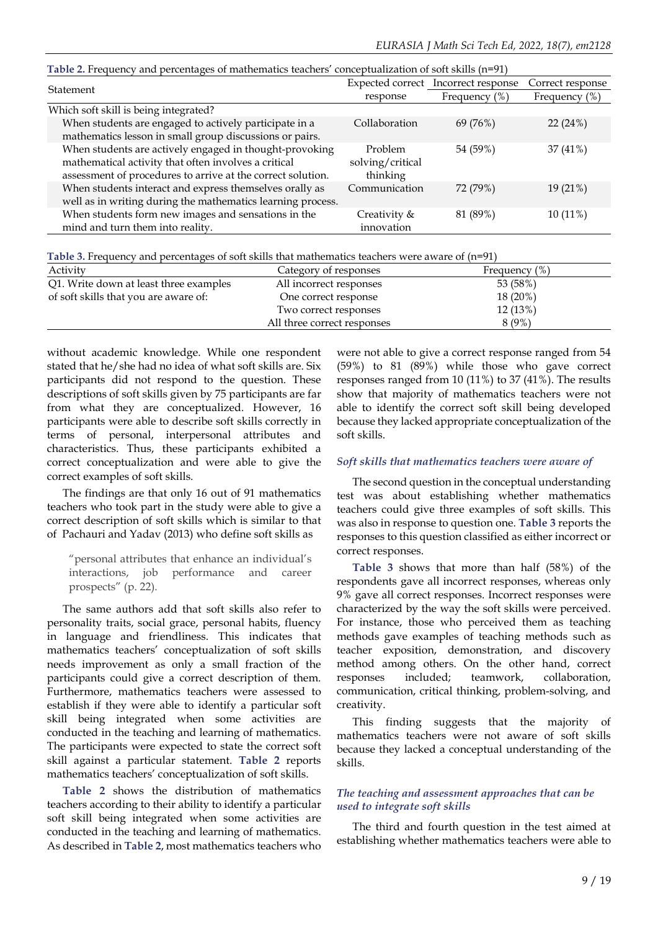| Table 2. Frequency and percentages of mathematics teachers' conceptualization of soft skills (n=91)                                                                            |                                         |                                     |                  |  |  |
|--------------------------------------------------------------------------------------------------------------------------------------------------------------------------------|-----------------------------------------|-------------------------------------|------------------|--|--|
| Statement                                                                                                                                                                      |                                         | Expected correct Incorrect response | Correct response |  |  |
|                                                                                                                                                                                | response                                | Frequency $(\%)$                    | Frequency $(\%)$ |  |  |
| Which soft skill is being integrated?                                                                                                                                          |                                         |                                     |                  |  |  |
| When students are engaged to actively participate in a<br>mathematics lesson in small group discussions or pairs.                                                              | Collaboration                           | 69 (76%)                            | 22(24%)          |  |  |
| When students are actively engaged in thought-provoking<br>mathematical activity that often involves a critical<br>assessment of procedures to arrive at the correct solution. | Problem<br>solving/critical<br>thinking | 54 (59%)                            | 37 (41%)         |  |  |
| When students interact and express themselves orally as<br>well as in writing during the mathematics learning process.                                                         | Communication                           | 72 (79%)                            | 19(21%)          |  |  |
| When students form new images and sensations in the<br>mind and turn them into reality.                                                                                        | Creativity &<br>innovation              | 81 (89%)                            | 10 (11%)         |  |  |

| Table 3. Frequency and percentages of soft skills that mathematics teachers were aware of $(n=91)$ |
|----------------------------------------------------------------------------------------------------|
|----------------------------------------------------------------------------------------------------|

| Activity                               | Category of responses       | Frequency $(\% )$ |
|----------------------------------------|-----------------------------|-------------------|
| Q1. Write down at least three examples | All incorrect responses     | 53 (58%)          |
| of soft skills that you are aware of:  | One correct response        | $18(20\%)$        |
|                                        | Two correct responses       | 12 (13%)          |
|                                        | All three correct responses | 8 (9%)            |

without academic knowledge. While one respondent stated that he/she had no idea of what soft skills are. Six participants did not respond to the question. These descriptions of soft skills given by 75 participants are far from what they are conceptualized. However, 16 participants were able to describe soft skills correctly in terms of personal, interpersonal attributes and characteristics. Thus, these participants exhibited a correct conceptualization and were able to give the correct examples of soft skills.

The findings are that only 16 out of 91 mathematics teachers who took part in the study were able to give a correct description of soft skills which is similar to that of Pachauri and Yadav (2013) who define soft skills as

"personal attributes that enhance an individual's interactions, job performance and career prospects" (p. 22).

The same authors add that soft skills also refer to personality traits, social grace, personal habits, fluency in language and friendliness. This indicates that mathematics teachers' conceptualization of soft skills needs improvement as only a small fraction of the participants could give a correct description of them. Furthermore, mathematics teachers were assessed to establish if they were able to identify a particular soft skill being integrated when some activities are conducted in the teaching and learning of mathematics. The participants were expected to state the correct soft skill against a particular statement. **Table 2** reports mathematics teachers' conceptualization of soft skills.

**Table 2** shows the distribution of mathematics teachers according to their ability to identify a particular soft skill being integrated when some activities are conducted in the teaching and learning of mathematics. As described in **Table 2**, most mathematics teachers who were not able to give a correct response ranged from 54 (59%) to 81 (89%) while those who gave correct responses ranged from 10 (11%) to 37 (41%). The results show that majority of mathematics teachers were not able to identify the correct soft skill being developed because they lacked appropriate conceptualization of the soft skills.

#### *Soft skills that mathematics teachers were aware of*

The second question in the conceptual understanding test was about establishing whether mathematics teachers could give three examples of soft skills. This was also in response to question one. **Table 3** reports the responses to this question classified as either incorrect or correct responses.

**Table 3** shows that more than half (58%) of the respondents gave all incorrect responses, whereas only 9% gave all correct responses. Incorrect responses were characterized by the way the soft skills were perceived. For instance, those who perceived them as teaching methods gave examples of teaching methods such as teacher exposition, demonstration, and discovery method among others. On the other hand, correct responses included; teamwork, collaboration, communication, critical thinking, problem-solving, and creativity.

This finding suggests that the majority of mathematics teachers were not aware of soft skills because they lacked a conceptual understanding of the skills.

#### *The teaching and assessment approaches that can be used to integrate soft skills*

The third and fourth question in the test aimed at establishing whether mathematics teachers were able to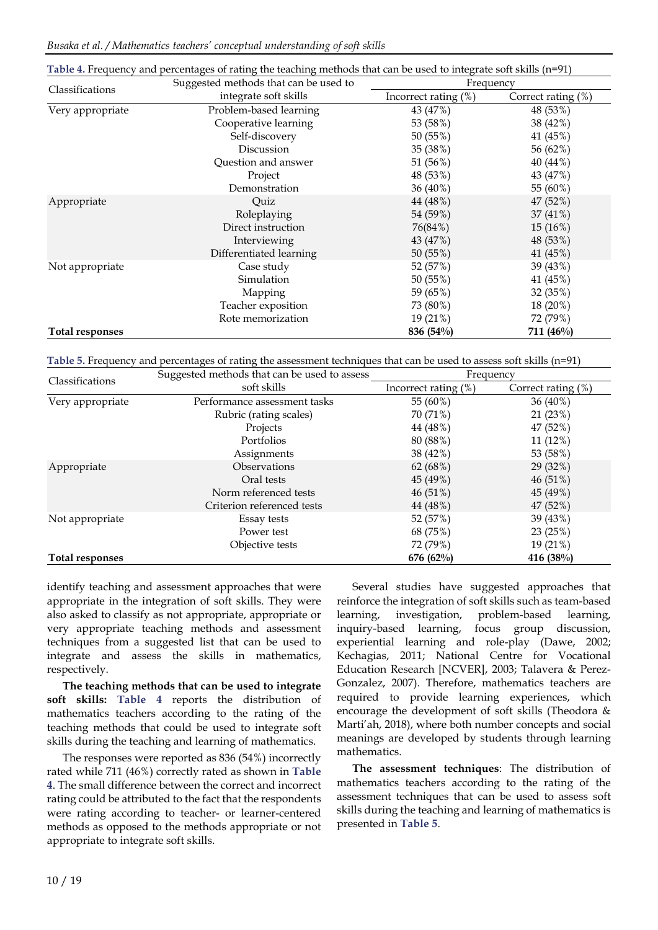*Busaka et al. / Mathematics teachers' conceptual understanding of soft skills*

| Table 4. Frequency and percentages of rating the teaching methods that can be used to integrate soft skills $(n=91)$ |                                       |                         |                    |  |  |  |
|----------------------------------------------------------------------------------------------------------------------|---------------------------------------|-------------------------|--------------------|--|--|--|
|                                                                                                                      | Suggested methods that can be used to | Frequency               |                    |  |  |  |
| Classifications                                                                                                      | integrate soft skills                 | Incorrect rating $(\%)$ | Correct rating (%) |  |  |  |
| Very appropriate                                                                                                     | Problem-based learning                | 43 (47%)                | 48 (53%)           |  |  |  |
|                                                                                                                      | Cooperative learning                  | 53 (58%)                | 38 (42%)           |  |  |  |
|                                                                                                                      | Self-discovery                        | 50 (55%)                | 41 (45%)           |  |  |  |
|                                                                                                                      | Discussion                            | 35 (38%)                | 56 (62%)           |  |  |  |
|                                                                                                                      | Question and answer                   | 51 (56%)                | 40 (44%)           |  |  |  |
|                                                                                                                      | Project                               | 48 (53%)                | 43 (47%)           |  |  |  |
|                                                                                                                      | Demonstration                         | 36 (40%)                | 55 (60%)           |  |  |  |
| Appropriate                                                                                                          | Quiz                                  | 44 (48%)                | 47 (52%)           |  |  |  |
|                                                                                                                      | Roleplaying                           | 54 (59%)                | 37 (41%)           |  |  |  |
|                                                                                                                      | Direct instruction                    | 76(84%)                 | 15 (16%)           |  |  |  |
|                                                                                                                      | Interviewing                          | 43 (47%)                | 48 (53%)           |  |  |  |
|                                                                                                                      | Differentiated learning               | 50 (55%)                | 41 (45%)           |  |  |  |
| Not appropriate                                                                                                      | Case study                            | 52 (57%)                | 39 (43%)           |  |  |  |
|                                                                                                                      | Simulation                            | 50 (55%)                | 41 (45%)           |  |  |  |
|                                                                                                                      | Mapping                               | 59 (65%)                | 32 (35%)           |  |  |  |
|                                                                                                                      | Teacher exposition                    | 73 (80%)                | 18 (20%)           |  |  |  |
|                                                                                                                      | Rote memorization                     | 19 (21%)                | 72 (79%)           |  |  |  |
| <b>Total responses</b>                                                                                               |                                       | 836 (54%)               | 711 (46%)          |  |  |  |

**Table 5.** Frequency and percentages of rating the assessment techniques that can be used to assess soft skills (n=91)

| Classifications  | Suggested methods that can be used to assess | Frequency               |                       |
|------------------|----------------------------------------------|-------------------------|-----------------------|
|                  | soft skills                                  | Incorrect rating $(\%)$ | Correct rating $(\%)$ |
| Very appropriate | Performance assessment tasks                 | 55 (60%)                | 36 (40%)              |
|                  | Rubric (rating scales)                       | 70 (71%)                | 21 (23%)              |
|                  | Projects                                     | 44 (48%)                | 47 (52%)              |
|                  | Portfolios                                   | 80 (88%)                | 11 (12%)              |
|                  | Assignments                                  | 38 (42%)                | 53 (58%)              |
| Appropriate      | Observations                                 | 62 (68%)                | 29 (32%)              |
|                  | Oral tests                                   | 45 (49%)                | 46 (51%)              |
|                  | Norm referenced tests                        | 46(51%)                 | 45 (49%)              |
|                  | Criterion referenced tests                   | 44 (48%)                | 47 (52%)              |
| Not appropriate  | Essay tests                                  | 52 (57%)                | 39 (43%)              |
|                  | Power test                                   | 68 (75%)                | 23(25%)               |
|                  | Objective tests                              | 72 (79%)                | 19 (21%)              |
| Total responses  |                                              | 676 (62%)               | 416 $(38%)$           |

identify teaching and assessment approaches that were appropriate in the integration of soft skills. They were also asked to classify as not appropriate, appropriate or very appropriate teaching methods and assessment techniques from a suggested list that can be used to integrate and assess the skills in mathematics, respectively.

**The teaching methods that can be used to integrate soft skills: Table 4** reports the distribution of mathematics teachers according to the rating of the teaching methods that could be used to integrate soft skills during the teaching and learning of mathematics.

The responses were reported as 836 (54%) incorrectly rated while 711 (46%) correctly rated as shown in **Table 4**. The small difference between the correct and incorrect rating could be attributed to the fact that the respondents were rating according to teacher- or learner-centered methods as opposed to the methods appropriate or not appropriate to integrate soft skills.

Several studies have suggested approaches that reinforce the integration of soft skills such as team-based learning, investigation, problem-based learning, inquiry-based learning, focus group discussion, experiential learning and role-play (Dawe, 2002; Kechagias, 2011; National Centre for Vocational Education Research [NCVER], 2003; Talavera & Perez-Gonzalez, 2007). Therefore, mathematics teachers are required to provide learning experiences, which encourage the development of soft skills (Theodora & Marti'ah, 2018), where both number concepts and social meanings are developed by students through learning mathematics.

**The assessment techniques**: The distribution of mathematics teachers according to the rating of the assessment techniques that can be used to assess soft skills during the teaching and learning of mathematics is presented in **Table 5**.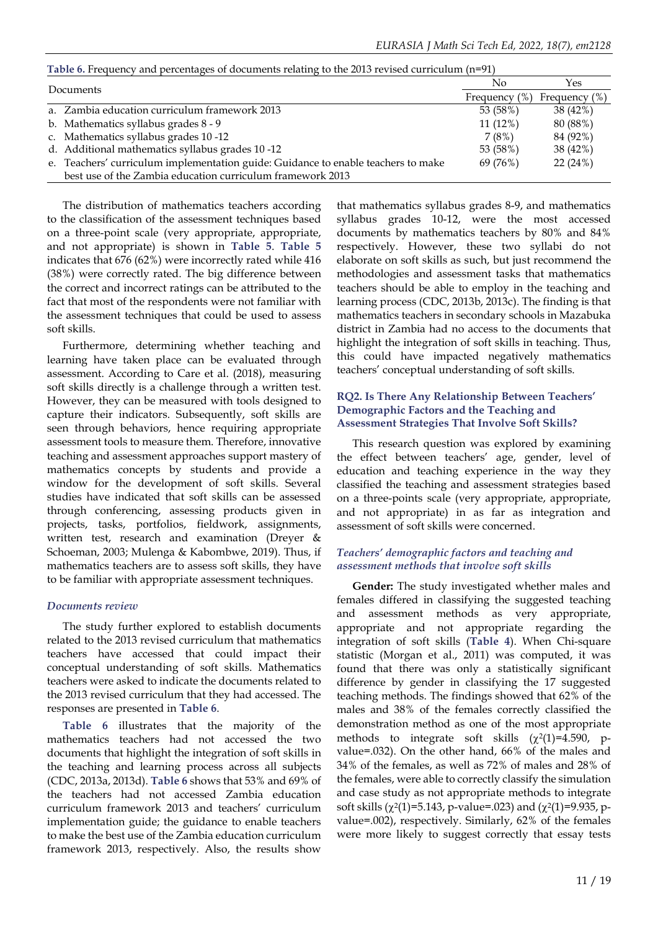|           | Table 6. Frequency and percentages of documents relating to the 2013 revised curriculum (n=91) |                  |                  |  |  |
|-----------|------------------------------------------------------------------------------------------------|------------------|------------------|--|--|
| Documents |                                                                                                | No               | Yes              |  |  |
|           |                                                                                                | Frequency $(\%)$ | Frequency $(\%)$ |  |  |
|           | a. Zambia education curriculum framework 2013                                                  | 53 (58%)         | 38 (42%)         |  |  |
|           | b. Mathematics syllabus grades 8 - 9                                                           | $11(12\%)$       | 80 (88%)         |  |  |
|           | c. Mathematics syllabus grades 10-12                                                           | 7(8%)            | 84 (92%)         |  |  |
|           | d. Additional mathematics syllabus grades 10 -12                                               | 53 (58%)         | 38 (42%)         |  |  |
|           | e. Teachers' curriculum implementation guide: Guidance to enable teachers to make              | 69 (76%)         | 22(24%)          |  |  |
|           | best use of the Zambia education curriculum framework 2013                                     |                  |                  |  |  |

#### **Table 6.** Frequency and percentages of documents relating to the 2013 revised curriculum (n=91)

The distribution of mathematics teachers according to the classification of the assessment techniques based on a three-point scale (very appropriate, appropriate, and not appropriate) is shown in **Table 5**. **Table 5** indicates that 676 (62%) were incorrectly rated while 416 (38%) were correctly rated. The big difference between the correct and incorrect ratings can be attributed to the fact that most of the respondents were not familiar with the assessment techniques that could be used to assess soft skills.

Furthermore, determining whether teaching and learning have taken place can be evaluated through assessment. According to Care et al. (2018), measuring soft skills directly is a challenge through a written test. However, they can be measured with tools designed to capture their indicators. Subsequently, soft skills are seen through behaviors, hence requiring appropriate assessment tools to measure them. Therefore, innovative teaching and assessment approaches support mastery of mathematics concepts by students and provide a window for the development of soft skills. Several studies have indicated that soft skills can be assessed through conferencing, assessing products given in projects, tasks, portfolios, fieldwork, assignments, written test, research and examination (Dreyer & Schoeman, 2003; Mulenga & Kabombwe, 2019). Thus, if mathematics teachers are to assess soft skills, they have to be familiar with appropriate assessment techniques.

#### *Documents review*

The study further explored to establish documents related to the 2013 revised curriculum that mathematics teachers have accessed that could impact their conceptual understanding of soft skills. Mathematics teachers were asked to indicate the documents related to the 2013 revised curriculum that they had accessed. The responses are presented in **Table 6**.

**Table 6** illustrates that the majority of the mathematics teachers had not accessed the two documents that highlight the integration of soft skills in the teaching and learning process across all subjects (CDC, 2013a, 2013d). **Table 6** shows that 53% and 69% of the teachers had not accessed Zambia education curriculum framework 2013 and teachers' curriculum implementation guide; the guidance to enable teachers to make the best use of the Zambia education curriculum framework 2013, respectively. Also, the results show

that mathematics syllabus grades 8-9, and mathematics syllabus grades 10-12, were the most accessed documents by mathematics teachers by 80% and 84% respectively. However, these two syllabi do not elaborate on soft skills as such, but just recommend the methodologies and assessment tasks that mathematics teachers should be able to employ in the teaching and learning process (CDC, 2013b, 2013c). The finding is that mathematics teachers in secondary schools in Mazabuka district in Zambia had no access to the documents that highlight the integration of soft skills in teaching. Thus, this could have impacted negatively mathematics teachers' conceptual understanding of soft skills.

#### **RQ2. Is There Any Relationship Between Teachers' Demographic Factors and the Teaching and Assessment Strategies That Involve Soft Skills?**

This research question was explored by examining the effect between teachers' age, gender, level of education and teaching experience in the way they classified the teaching and assessment strategies based on a three-points scale (very appropriate, appropriate, and not appropriate) in as far as integration and assessment of soft skills were concerned.

## *Teachers' demographic factors and teaching and assessment methods that involve soft skills*

**Gender:** The study investigated whether males and females differed in classifying the suggested teaching and assessment methods as very appropriate, appropriate and not appropriate regarding the integration of soft skills (**Table 4**). When Chi-square statistic (Morgan et al., 2011) was computed, it was found that there was only a statistically significant difference by gender in classifying the 17 suggested teaching methods. The findings showed that 62% of the males and 38% of the females correctly classified the demonstration method as one of the most appropriate methods to integrate soft skills  $(\chi^2(1)=4.590, p$ value=.032). On the other hand, 66% of the males and 34% of the females, as well as 72% of males and 28% of the females, were able to correctly classify the simulation and case study as not appropriate methods to integrate soft skills ( $\chi^2(1)$ =5.143, p-value=.023) and ( $\chi^2(1)$ =9.935, pvalue=.002), respectively. Similarly, 62% of the females were more likely to suggest correctly that essay tests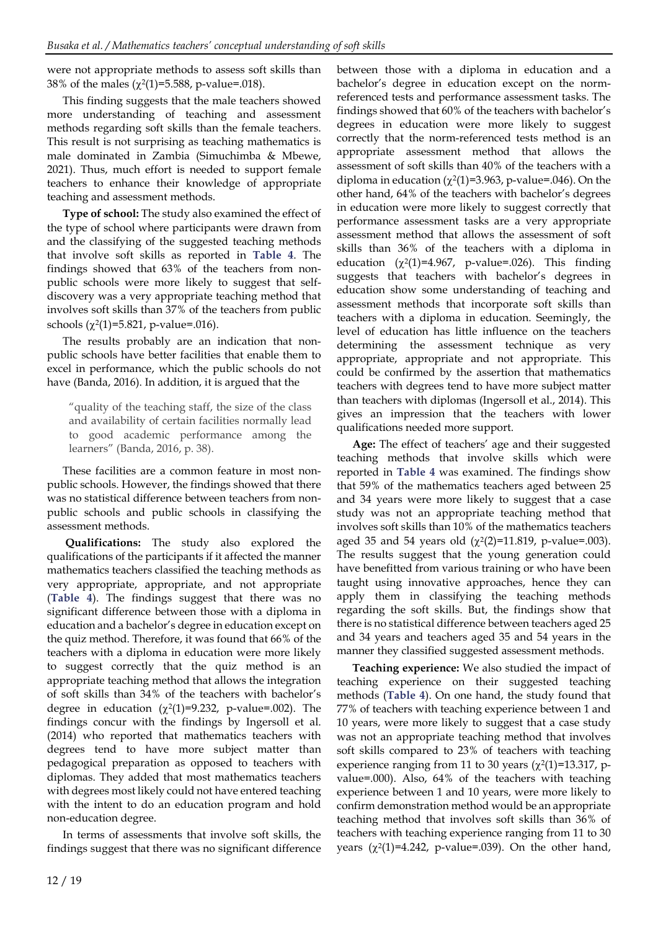were not appropriate methods to assess soft skills than 38% of the males  $(\chi^2(1)=5.588, p-value=.018)$ .

This finding suggests that the male teachers showed more understanding of teaching and assessment methods regarding soft skills than the female teachers. This result is not surprising as teaching mathematics is male dominated in Zambia (Simuchimba & Mbewe, 2021). Thus, much effort is needed to support female teachers to enhance their knowledge of appropriate teaching and assessment methods.

**Type of school:** The study also examined the effect of the type of school where participants were drawn from and the classifying of the suggested teaching methods that involve soft skills as reported in **Table 4**. The findings showed that 63% of the teachers from nonpublic schools were more likely to suggest that selfdiscovery was a very appropriate teaching method that involves soft skills than 37% of the teachers from public schools  $(\chi^2(1)=5.821, p-value=0.016)$ .

The results probably are an indication that nonpublic schools have better facilities that enable them to excel in performance, which the public schools do not have (Banda, 2016). In addition, it is argued that the

"quality of the teaching staff, the size of the class and availability of certain facilities normally lead to good academic performance among the learners" (Banda, 2016, p. 38).

These facilities are a common feature in most nonpublic schools. However, the findings showed that there was no statistical difference between teachers from nonpublic schools and public schools in classifying the assessment methods.

**Qualifications:** The study also explored the qualifications of the participants if it affected the manner mathematics teachers classified the teaching methods as very appropriate, appropriate, and not appropriate (**Table 4**). The findings suggest that there was no significant difference between those with a diploma in education and a bachelor's degree in education except on the quiz method. Therefore, it was found that 66% of the teachers with a diploma in education were more likely to suggest correctly that the quiz method is an appropriate teaching method that allows the integration of soft skills than 34% of the teachers with bachelor's degree in education  $(\chi^2(1)=9.232, p-value=0.002)$ . The findings concur with the findings by Ingersoll et al. (2014) who reported that mathematics teachers with degrees tend to have more subject matter than pedagogical preparation as opposed to teachers with diplomas. They added that most mathematics teachers with degrees most likely could not have entered teaching with the intent to do an education program and hold non-education degree.

In terms of assessments that involve soft skills, the findings suggest that there was no significant difference

between those with a diploma in education and a bachelor's degree in education except on the normreferenced tests and performance assessment tasks. The findings showed that 60% of the teachers with bachelor's degrees in education were more likely to suggest correctly that the norm-referenced tests method is an appropriate assessment method that allows the assessment of soft skills than 40% of the teachers with a diploma in education  $(\chi^2(1)=3.963, p-value=0.046)$ . On the other hand, 64% of the teachers with bachelor's degrees in education were more likely to suggest correctly that performance assessment tasks are a very appropriate assessment method that allows the assessment of soft skills than 36% of the teachers with a diploma in education  $(\chi^2(1)=4.967, \text{ p-value}=.026)$ . This finding suggests that teachers with bachelor's degrees in education show some understanding of teaching and assessment methods that incorporate soft skills than teachers with a diploma in education. Seemingly, the level of education has little influence on the teachers determining the assessment technique as very appropriate, appropriate and not appropriate. This could be confirmed by the assertion that mathematics teachers with degrees tend to have more subject matter than teachers with diplomas (Ingersoll et al., 2014). This gives an impression that the teachers with lower qualifications needed more support.

**Age:** The effect of teachers' age and their suggested teaching methods that involve skills which were reported in **Table 4** was examined. The findings show that 59% of the mathematics teachers aged between 25 and 34 years were more likely to suggest that a case study was not an appropriate teaching method that involves soft skills than 10% of the mathematics teachers aged 35 and 54 years old  $(\chi^2(2)=11.819, p-value=.003)$ . The results suggest that the young generation could have benefitted from various training or who have been taught using innovative approaches, hence they can apply them in classifying the teaching methods regarding the soft skills. But, the findings show that there is no statistical difference between teachers aged 25 and 34 years and teachers aged 35 and 54 years in the manner they classified suggested assessment methods.

**Teaching experience:** We also studied the impact of teaching experience on their suggested teaching methods (**Table 4**). On one hand, the study found that 77% of teachers with teaching experience between 1 and 10 years, were more likely to suggest that a case study was not an appropriate teaching method that involves soft skills compared to 23% of teachers with teaching experience ranging from 11 to 30 years  $(\chi^2(1)=13.317, p$ value=.000). Also, 64% of the teachers with teaching experience between 1 and 10 years, were more likely to confirm demonstration method would be an appropriate teaching method that involves soft skills than 36% of teachers with teaching experience ranging from 11 to 30 years  $(\chi^2(1)=4.242, p-value=0.039)$ . On the other hand,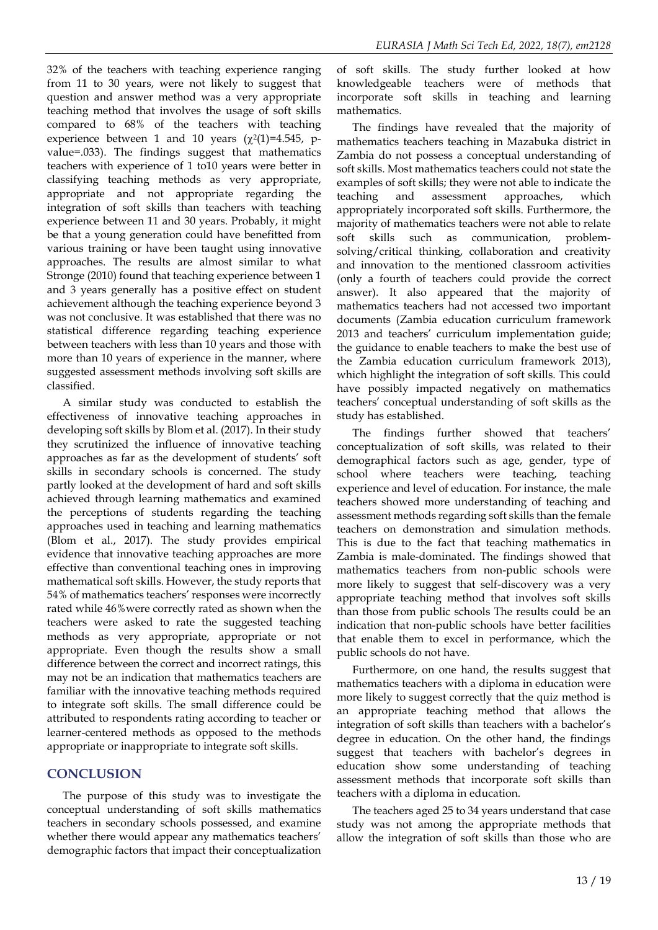32% of the teachers with teaching experience ranging from 11 to 30 years, were not likely to suggest that question and answer method was a very appropriate teaching method that involves the usage of soft skills compared to 68% of the teachers with teaching experience between 1 and 10 years  $(\chi^2(1)=4.545, p$ value=.033). The findings suggest that mathematics teachers with experience of 1 to10 years were better in classifying teaching methods as very appropriate, appropriate and not appropriate regarding the integration of soft skills than teachers with teaching experience between 11 and 30 years. Probably, it might be that a young generation could have benefitted from various training or have been taught using innovative approaches. The results are almost similar to what Stronge (2010) found that teaching experience between 1 and 3 years generally has a positive effect on student achievement although the teaching experience beyond 3 was not conclusive. It was established that there was no statistical difference regarding teaching experience between teachers with less than 10 years and those with more than 10 years of experience in the manner, where suggested assessment methods involving soft skills are classified.

A similar study was conducted to establish the effectiveness of innovative teaching approaches in developing soft skills by Blom et al. (2017). In their study they scrutinized the influence of innovative teaching approaches as far as the development of students' soft skills in secondary schools is concerned. The study partly looked at the development of hard and soft skills achieved through learning mathematics and examined the perceptions of students regarding the teaching approaches used in teaching and learning mathematics (Blom et al., 2017). The study provides empirical evidence that innovative teaching approaches are more effective than conventional teaching ones in improving mathematical soft skills. However, the study reports that 54% of mathematics teachers' responses were incorrectly rated while 46%were correctly rated as shown when the teachers were asked to rate the suggested teaching methods as very appropriate, appropriate or not appropriate. Even though the results show a small difference between the correct and incorrect ratings, this may not be an indication that mathematics teachers are familiar with the innovative teaching methods required to integrate soft skills. The small difference could be attributed to respondents rating according to teacher or learner-centered methods as opposed to the methods appropriate or inappropriate to integrate soft skills.

# **CONCLUSION**

The purpose of this study was to investigate the conceptual understanding of soft skills mathematics teachers in secondary schools possessed, and examine whether there would appear any mathematics teachers' demographic factors that impact their conceptualization of soft skills. The study further looked at how knowledgeable teachers were of methods that incorporate soft skills in teaching and learning mathematics.

The findings have revealed that the majority of mathematics teachers teaching in Mazabuka district in Zambia do not possess a conceptual understanding of soft skills. Most mathematics teachers could not state the examples of soft skills; they were not able to indicate the teaching and assessment approaches, which appropriately incorporated soft skills. Furthermore, the majority of mathematics teachers were not able to relate soft skills such as communication, problemsolving/critical thinking, collaboration and creativity and innovation to the mentioned classroom activities (only a fourth of teachers could provide the correct answer). It also appeared that the majority of mathematics teachers had not accessed two important documents (Zambia education curriculum framework 2013 and teachers' curriculum implementation guide; the guidance to enable teachers to make the best use of the Zambia education curriculum framework 2013), which highlight the integration of soft skills. This could have possibly impacted negatively on mathematics teachers' conceptual understanding of soft skills as the study has established.

The findings further showed that teachers' conceptualization of soft skills, was related to their demographical factors such as age, gender, type of school where teachers were teaching, teaching experience and level of education. For instance, the male teachers showed more understanding of teaching and assessment methods regarding soft skills than the female teachers on demonstration and simulation methods. This is due to the fact that teaching mathematics in Zambia is male-dominated. The findings showed that mathematics teachers from non-public schools were more likely to suggest that self-discovery was a very appropriate teaching method that involves soft skills than those from public schools The results could be an indication that non-public schools have better facilities that enable them to excel in performance, which the public schools do not have.

Furthermore, on one hand, the results suggest that mathematics teachers with a diploma in education were more likely to suggest correctly that the quiz method is an appropriate teaching method that allows the integration of soft skills than teachers with a bachelor's degree in education. On the other hand, the findings suggest that teachers with bachelor's degrees in education show some understanding of teaching assessment methods that incorporate soft skills than teachers with a diploma in education.

The teachers aged 25 to 34 years understand that case study was not among the appropriate methods that allow the integration of soft skills than those who are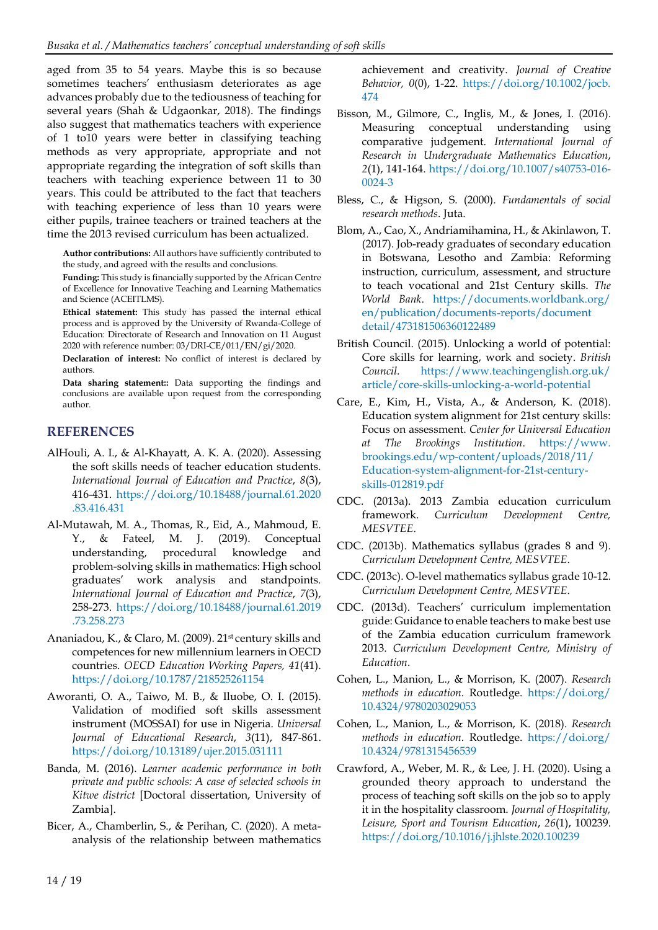aged from 35 to 54 years. Maybe this is so because sometimes teachers' enthusiasm deteriorates as age advances probably due to the tediousness of teaching for several years (Shah & Udgaonkar, 2018). The findings also suggest that mathematics teachers with experience of 1 to10 years were better in classifying teaching methods as very appropriate, appropriate and not appropriate regarding the integration of soft skills than teachers with teaching experience between 11 to 30 years. This could be attributed to the fact that teachers with teaching experience of less than 10 years were either pupils, trainee teachers or trained teachers at the time the 2013 revised curriculum has been actualized.

**Author contributions:** All authors have sufficiently contributed to the study, and agreed with the results and conclusions.

**Funding:** This study is financially supported by the African Centre of Excellence for Innovative Teaching and Learning Mathematics and Science (ACEITLMS).

**Ethical statement:** This study has passed the internal ethical process and is approved by the University of Rwanda-College of Education: Directorate of Research and Innovation on 11 August 2020 with reference number: 03/DRI-CE/011/EN/gi/2020.

**Declaration of interest:** No conflict of interest is declared by authors.

**Data sharing statement::** Data supporting the findings and conclusions are available upon request from the corresponding author.

# **REFERENCES**

- AlHouli, A. I., & Al-Khayatt, A. K. A. (2020). Assessing the soft skills needs of teacher education students. *International Journal of Education and Practice*, *8*(3), 416-431. [https://doi.org/10.18488/journal.61.2020](https://doi.org/10.18488/journal.61.2020.83.416.431) [.83.416.431](https://doi.org/10.18488/journal.61.2020.83.416.431)
- Al-Mutawah, M. A., Thomas, R., Eid, A., Mahmoud, E. Y., & Fateel, M. J. (2019). Conceptual understanding, procedural knowledge and problem-solving skills in mathematics: High school graduates' work analysis and standpoints. *International Journal of Education and Practice*, *7*(3), 258-273. [https://doi.org/10.18488/journal.61.2019](https://doi.org/10.18488/journal.61.2019.73.258.273) [.73.258.273](https://doi.org/10.18488/journal.61.2019.73.258.273)
- Ananiadou, K., & Claro, M. (2009). 21st century skills and competences for new millennium learners in OECD countries. *OECD Education Working Papers, 41*(41). <https://doi.org/10.1787/218525261154>
- Aworanti, O. A., Taiwo, M. B., & Iluobe, O. I. (2015). Validation of modified soft skills assessment instrument (MOSSAI) for use in Nigeria. *Universal Journal of Educational Research*, *3*(11), 847-861. <https://doi.org/10.13189/ujer.2015.031111>
- Banda, M. (2016). *Learner academic performance in both private and public schools: A case of selected schools in Kitwe district* [Doctoral dissertation, University of Zambia].
- Bicer, A., Chamberlin, S., & Perihan, C. (2020). A metaanalysis of the relationship between mathematics

achievement and creativity. *Journal of Creative Behavior, 0*(0), 1-22. [https://doi.org/10.1002/jocb.](https://doi.org/10.1002/jocb.474) [474](https://doi.org/10.1002/jocb.474)

- Bisson, M., Gilmore, C., Inglis, M., & Jones, I. (2016). Measuring conceptual understanding using comparative judgement. *International Journal of Research in Undergraduate Mathematics Education*, *2*(1), 141-164. [https://doi.org/10.1007/s40753-016-](https://doi.org/10.1007/s40753-016-0024-3) [0024-3](https://doi.org/10.1007/s40753-016-0024-3)
- Bless, C., & Higson, S. (2000). *Fundamentals of social research methods*. Juta.
- Blom, A., Cao, X., Andriamihamina, H., & Akinlawon, T. (2017). Job-ready graduates of secondary education in Botswana, Lesotho and Zambia: Reforming instruction, curriculum, assessment, and structure to teach vocational and 21st Century skills. *The World Bank*. [https://documents.worldbank.org/](https://documents.worldbank.org/en/publication/documents-reports/documentdetail/473181506360122489) [en/publication/documents-reports/document](https://documents.worldbank.org/en/publication/documents-reports/documentdetail/473181506360122489) [detail/473181506360122489](https://documents.worldbank.org/en/publication/documents-reports/documentdetail/473181506360122489)
- British Council. (2015). Unlocking a world of potential: Core skills for learning, work and society. *British Council*. [https://www.teachingenglish.org.uk/](https://www.teachingenglish.org.uk/article/core-skills-unlocking-a-world-potential) [article/core-skills-unlocking-a-world-potential](https://www.teachingenglish.org.uk/article/core-skills-unlocking-a-world-potential)
- Care, E., Kim, H., Vista, A., & Anderson, K. (2018). Education system alignment for 21st century skills: Focus on assessment. *Center for Universal Education at The Brookings Institution*. [https://www.](https://www.brookings.edu/wp-content/uploads/2018/11/Education-system-alignment-for-21st-century-skills-012819.pdf) [brookings.edu/wp-content/uploads/2018/11/](https://www.brookings.edu/wp-content/uploads/2018/11/Education-system-alignment-for-21st-century-skills-012819.pdf) [Education-system-alignment-for-21st-century](https://www.brookings.edu/wp-content/uploads/2018/11/Education-system-alignment-for-21st-century-skills-012819.pdf)[skills-012819.pdf](https://www.brookings.edu/wp-content/uploads/2018/11/Education-system-alignment-for-21st-century-skills-012819.pdf)
- CDC. (2013a). 2013 Zambia education curriculum framework. *Curriculum Development Centre, MESVTEE*.
- CDC. (2013b). Mathematics syllabus (grades 8 and 9). *Curriculum Development Centre, MESVTEE*.
- CDC. (2013c). O-level mathematics syllabus grade 10-12. *Curriculum Development Centre, MESVTEE*.
- CDC. (2013d). Teachers' curriculum implementation guide: Guidance to enable teachers to make best use of the Zambia education curriculum framework 2013. *Curriculum Development Centre, Ministry of Education*.
- Cohen, L., Manion, L., & Morrison, K. (2007). *Research methods in education*. Routledge. [https://doi.org/](https://doi.org/10.4324/9780203029053) [10.4324/9780203029053](https://doi.org/10.4324/9780203029053)
- Cohen, L., Manion, L., & Morrison, K. (2018). *Research methods in education*. Routledge. [https://doi.org/](https://doi.org/10.4324/9781315456539) [10.4324/9781315456539](https://doi.org/10.4324/9781315456539)
- Crawford, A., Weber, M. R., & Lee, J. H. (2020). Using a grounded theory approach to understand the process of teaching soft skills on the job so to apply it in the hospitality classroom. *Journal of Hospitality, Leisure, Sport and Tourism Education*, *26*(1), 100239. <https://doi.org/10.1016/j.jhlste.2020.100239>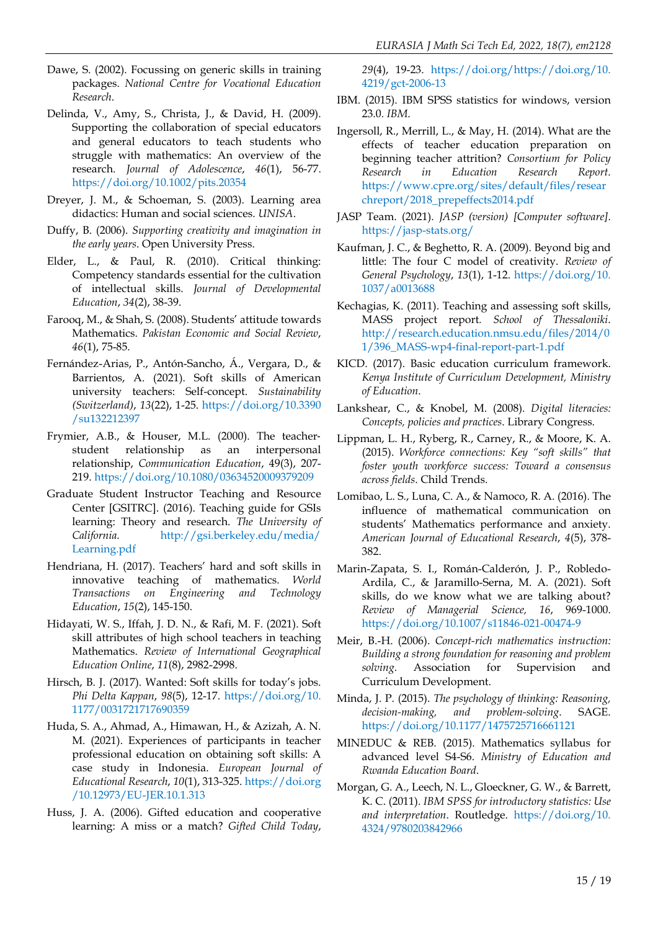- Dawe, S. (2002). Focussing on generic skills in training packages. *National Centre for Vocational Education Research*.
- Delinda, V., Amy, S., Christa, J., & David, H. (2009). Supporting the collaboration of special educators and general educators to teach students who struggle with mathematics: An overview of the research. *Journal of Adolescence*, *46*(1), 56-77. <https://doi.org/10.1002/pits.20354>
- Dreyer, J. M., & Schoeman, S. (2003). Learning area didactics: Human and social sciences. *UNISA*.
- Duffy, B. (2006). *Supporting creativity and imagination in the early years*. Open University Press.
- Elder, L., & Paul, R. (2010). Critical thinking: Competency standards essential for the cultivation of intellectual skills. *Journal of Developmental Education*, *34*(2), 38-39.
- Farooq, M., & Shah, S. (2008). Students' attitude towards Mathematics. *Pakistan Economic and Social Review*, *46*(1), 75-85.
- Fernández-Arias, P., Antón-Sancho, Á., Vergara, D., & Barrientos, A. (2021). Soft skills of American university teachers: Self-concept. *Sustainability (Switzerland)*, *13*(22), 1-25. [https://doi.org/10.3390](https://doi.org/10.3390/su132212397) [/su132212397](https://doi.org/10.3390/su132212397)
- Frymier, A.B., & Houser, M.L. (2000). The teacher‐ student relationship as an interpersonal relationship, *Communication Education*, 49(3), 207- 219. <https://doi.org/10.1080/03634520009379209>
- Graduate Student Instructor Teaching and Resource Center [GSITRC]. (2016). Teaching guide for GSIs learning: Theory and research. *The University of California*. [http://gsi.berkeley.edu/media/](http://gsi.berkeley.edu/media/Learning.pdf) [Learning.pdf](http://gsi.berkeley.edu/media/Learning.pdf)
- Hendriana, H. (2017). Teachers' hard and soft skills in innovative teaching of mathematics. *World Transactions on Engineering and Technology Education*, *15*(2), 145-150.
- Hidayati, W. S., Iffah, J. D. N., & Rafi, M. F. (2021). Soft skill attributes of high school teachers in teaching Mathematics. *Review of International Geographical Education Online*, *11*(8), 2982-2998.
- Hirsch, B. J. (2017). Wanted: Soft skills for today's jobs. *Phi Delta Kappan*, *98*(5), 12-17. [https://doi.org/10.](https://doi.org/10.1177/0031721717690359) [1177/0031721717690359](https://doi.org/10.1177/0031721717690359)
- Huda, S. A., Ahmad, A., Himawan, H., & Azizah, A. N. M. (2021). Experiences of participants in teacher professional education on obtaining soft skills: A case study in Indonesia. *European Journal of Educational Research*, *10*(1), 313-325. [https://doi.org](https://doi.org/10.12973/EU-JER.10.1.313) [/10.12973/EU-JER.10.1.313](https://doi.org/10.12973/EU-JER.10.1.313)
- Huss, J. A. (2006). Gifted education and cooperative learning: A miss or a match? *Gifted Child Today*,

*29*(4), 19-23. [https://doi.org/https://doi.org/10.](https://doi.org/https:/doi.org/10.4219/gct-2006-13) [4219/gct-2006-13](https://doi.org/https:/doi.org/10.4219/gct-2006-13)

- IBM. (2015). IBM SPSS statistics for windows, version 23.0*. IBM*.
- Ingersoll, R., Merrill, L., & May, H. (2014). What are the effects of teacher education preparation on beginning teacher attrition? *Consortium for Policy Research in Education Research Report*. [https://www.cpre.org/sites/default/files/resear](https://www.cpre.org/sites/default/files/researchreport/2018_prepeffects2014.pdf) [chreport/2018\\_prepeffects2014.pdf](https://www.cpre.org/sites/default/files/researchreport/2018_prepeffects2014.pdf)
- JASP Team. (2021). *JASP (version) [Computer software]*. <https://jasp-stats.org/>
- Kaufman, J. C., & Beghetto, R. A. (2009). Beyond big and little: The four C model of creativity. *Review of General Psychology*, *13*(1), 1-12. [https://doi.org/10.](https://doi.org/10.1037/a0013688) [1037/a0013688](https://doi.org/10.1037/a0013688)
- Kechagias, K. (2011). Teaching and assessing soft skills, MASS project report*. School of Thessaloniki*. [http://research.education.nmsu.edu/files/2014/0](http://research.education.nmsu.edu/files/2014/01/396_MASS-wp4-final-report-part-1.pdf) [1/396\\_MASS-wp4-final-report-part-1.pdf](http://research.education.nmsu.edu/files/2014/01/396_MASS-wp4-final-report-part-1.pdf)
- KICD. (2017). Basic education curriculum framework. *Kenya Institute of Curriculum Development, Ministry of Education*.
- Lankshear, C., & Knobel, M. (2008). *Digital literacies: Concepts, policies and practices*. Library Congress.
- Lippman, L. H., Ryberg, R., Carney, R., & Moore, K. A. (2015). *Workforce connections: Key "soft skills" that foster youth workforce success: Toward a consensus across fields*. Child Trends.
- Lomibao, L. S., Luna, C. A., & Namoco, R. A. (2016). The influence of mathematical communication on students' Mathematics performance and anxiety. *American Journal of Educational Research*, *4*(5), 378- 382.
- Marin-Zapata, S. I., Román-Calderón, J. P., Robledo-Ardila, C., & Jaramillo-Serna, M. A. (2021). Soft skills, do we know what we are talking about? *Review of Managerial Science, 16*, 969-1000. <https://doi.org/10.1007/s11846-021-00474-9>
- Meir, B.-H. (2006). *Concept-rich mathematics instruction: Building a strong foundation for reasoning and problem solving*. Association for Supervision and Curriculum Development.
- Minda, J. P. (2015). *The psychology of thinking: Reasoning, decision-making, and problem-solving*. SAGE. <https://doi.org/10.1177/1475725716661121>
- MINEDUC & REB. (2015). Mathematics syllabus for advanced level S4-S6. *Ministry of Education and Rwanda Education Board*.
- Morgan, G. A., Leech, N. L., Gloeckner, G. W., & Barrett, K. C. (2011). *IBM SPSS for introductory statistics: Use and interpretation*. Routledge. [https://doi.org/10.](https://doi.org/10.4324/9780203842966) [4324/9780203842966](https://doi.org/10.4324/9780203842966)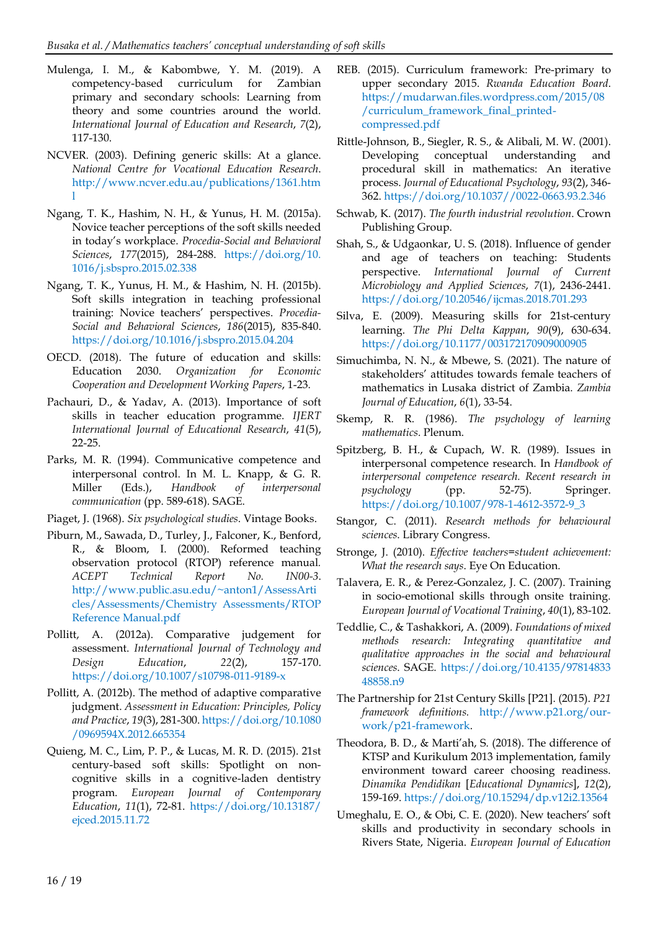- Mulenga, I. M., & Kabombwe, Y. M. (2019). A competency-based curriculum for Zambian primary and secondary schools: Learning from theory and some countries around the world. *International Journal of Education and Research*, *7*(2), 117-130.
- NCVER. (2003). Defining generic skills: At a glance. *National Centre for Vocational Education Research*. [http://www.ncver.edu.au/publications/1361.htm](http://www.ncver.edu.au/publications/1361.html) [l](http://www.ncver.edu.au/publications/1361.html)
- Ngang, T. K., Hashim, N. H., & Yunus, H. M. (2015a). Novice teacher perceptions of the soft skills needed in today's workplace. *Procedia-Social and Behavioral Sciences*, *177*(2015), 284-288. [https://doi.org/10.](https://doi.org/10.1016/j.sbspro.2015.02.338) [1016/j.sbspro.2015.02.338](https://doi.org/10.1016/j.sbspro.2015.02.338)
- Ngang, T. K., Yunus, H. M., & Hashim, N. H. (2015b). Soft skills integration in teaching professional training: Novice teachers' perspectives. *Procedia-Social and Behavioral Sciences*, *186*(2015), 835-840. <https://doi.org/10.1016/j.sbspro.2015.04.204>
- OECD. (2018). The future of education and skills: Education 2030. *Organization for Economic Cooperation and Development Working Papers*, 1-23.
- Pachauri, D., & Yadav, A. (2013). Importance of soft skills in teacher education programme. *IJERT International Journal of Educational Research*, *41*(5), 22-25.
- Parks, M. R. (1994). Communicative competence and interpersonal control. In M. L. Knapp, & G. R. Miller (Eds.), *Handbook of interpersonal communication* (pp. 589-618). SAGE.
- Piaget, J. (1968). *Six psychological studies*. Vintage Books.
- Piburn, M., Sawada, D., Turley, J., Falconer, K., Benford, R., & Bloom, I. (2000). Reformed teaching observation protocol (RTOP) reference manual*. ACEPT Technical Report No. IN00-3*. [http://www.public.asu.edu/~anton1/AssessArti](http://www.public.asu.edu/~anton1/AssessArticles/Assessments/Chemistry%20Assessments/RTOP%20Reference%20Manual.pdf) [cles/Assessments/Chemistry](http://www.public.asu.edu/~anton1/AssessArticles/Assessments/Chemistry%20Assessments/RTOP%20Reference%20Manual.pdf) Assessments/RTOP Reference [Manual.pdf](http://www.public.asu.edu/~anton1/AssessArticles/Assessments/Chemistry%20Assessments/RTOP%20Reference%20Manual.pdf)
- Pollitt, A. (2012a). Comparative judgement for assessment. *International Journal of Technology and Design Education*, *22*(2), 157-170. <https://doi.org/10.1007/s10798-011-9189-x>
- Pollitt, A. (2012b). The method of adaptive comparative judgment. *Assessment in Education: Principles, Policy and Practice*, *19*(3), 281-300. [https://doi.org/10.1080](https://doi.org/10.1080/0969594X.2012.665354) [/0969594X.2012.665354](https://doi.org/10.1080/0969594X.2012.665354)
- Quieng, M. C., Lim, P. P., & Lucas, M. R. D. (2015). 21st century-based soft skills: Spotlight on noncognitive skills in a cognitive-laden dentistry program. *European Journal of Contemporary Education*, *11*(1), 72-81. [https://doi.org/10.13187/](https://doi.org/10.13187/ejced.2015.11.72) [ejced.2015.11.72](https://doi.org/10.13187/ejced.2015.11.72)
- REB. (2015). Curriculum framework: Pre-primary to upper secondary 2015. *Rwanda Education Board*. [https://mudarwan.files.wordpress.com/2015/08](https://mudarwan.files.wordpress.com/2015/08/curriculum_framework_final_printed-compressed.pdf) [/curriculum\\_framework\\_final\\_printed](https://mudarwan.files.wordpress.com/2015/08/curriculum_framework_final_printed-compressed.pdf)[compressed.pdf](https://mudarwan.files.wordpress.com/2015/08/curriculum_framework_final_printed-compressed.pdf)
- Rittle-Johnson, B., Siegler, R. S., & Alibali, M. W. (2001). Developing conceptual understanding and procedural skill in mathematics: An iterative process. *Journal of Educational Psychology*, *93*(2), 346- 362. [https://doi.org/10.1037//0022-0663.93.2.346](https://doi.org/10.1037/0022-0663.93.2.346)
- Schwab, K. (2017). *The fourth industrial revolution*. Crown Publishing Group.
- Shah, S., & Udgaonkar, U. S. (2018). Influence of gender and age of teachers on teaching: Students perspective. *International Journal of Current Microbiology and Applied Sciences*, *7*(1), 2436-2441. <https://doi.org/10.20546/ijcmas.2018.701.293>
- Silva, E. (2009). Measuring skills for 21st-century learning. *The Phi Delta Kappan*, *90*(9), 630-634. <https://doi.org/10.1177/003172170909000905>
- Simuchimba, N. N., & Mbewe, S. (2021). The nature of stakeholders' attitudes towards female teachers of mathematics in Lusaka district of Zambia. *Zambia Journal of Education*, *6*(1), 33-54.
- Skemp, R. R. (1986). *The psychology of learning mathematics*. Plenum.
- Spitzberg, B. H., & Cupach, W. R. (1989). Issues in interpersonal competence research. In *Handbook of interpersonal competence research. Recent research in psychology* (pp. 52-75). Springer. [https://doi.org/10.1007/978-1-4612-3572-9\\_3](https://doi.org/10.1007/978-1-4612-3572-9_3)
- Stangor, C. (2011). *Research methods for behavioural sciences*. Library Congress.
- Stronge, J. (2010). *Effective teachers=student achievement: What the research says*. Eye On Education.
- Talavera, E. R., & Perez-Gonzalez, J. C. (2007). Training in socio-emotional skills through onsite training. *European Journal of Vocational Training*, *40*(1), 83-102.
- Teddlie, C., & Tashakkori, A. (2009). *Foundations of mixed methods research: Integrating quantitative and qualitative approaches in the social and behavioural sciences*. SAGE. [https://doi.org/10.4135/97814833](https://doi.org/10.4135/9781483348858.n9) [48858.n9](https://doi.org/10.4135/9781483348858.n9)
- The Partnership for 21st Century Skills [P21]. (2015). *P21 framework definitions.* [http://www.p21.org/our](http://www.p21.org/our-work/p21-framework)[work/p21-framework.](http://www.p21.org/our-work/p21-framework)
- Theodora, B. D., & Marti'ah, S. (2018). The difference of KTSP and Kurikulum 2013 implementation, family environment toward career choosing readiness. *Dinamika Pendidikan* [*Educational Dynamics*], *12*(2), 159-169. <https://doi.org/10.15294/dp.v12i2.13564>
- Umeghalu, E. O., & Obi, C. E. (2020). New teachers' soft skills and productivity in secondary schools in Rivers State, Nigeria. *European Journal of Education*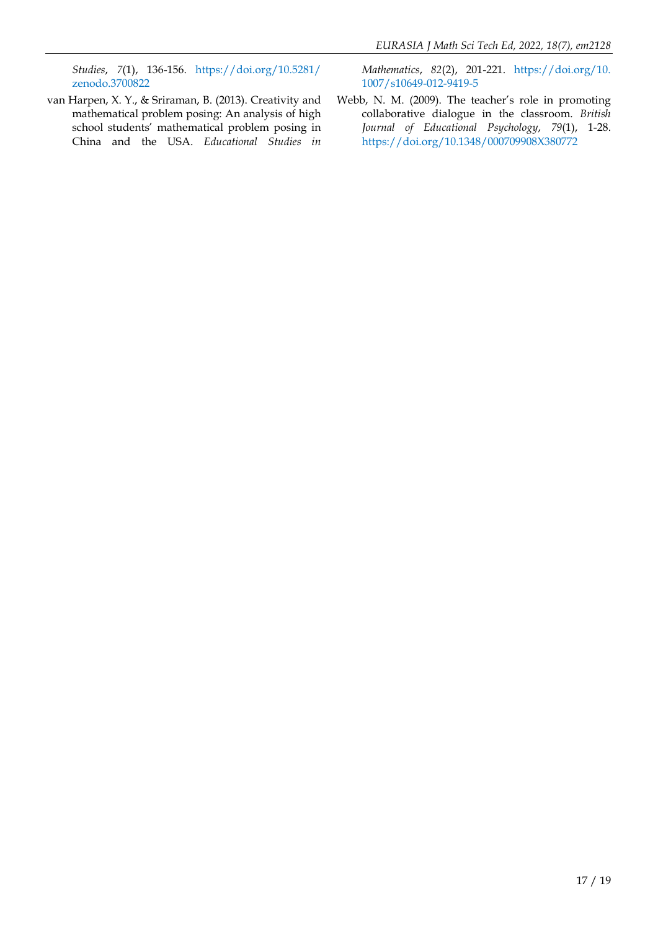*Studies*, *7*(1), 136-156. [https://doi.org/10.5281/](https://doi.org/10.5281/zenodo.3700822) [zenodo.3700822](https://doi.org/10.5281/zenodo.3700822)

van Harpen, X. Y., & Sriraman, B. (2013). Creativity and mathematical problem posing: An analysis of high school students' mathematical problem posing in China and the USA. *Educational Studies in*

*Mathematics*, *82*(2), 201-221. [https://doi.org/10.](https://doi.org/10.1007/s10649-012-9419-5) [1007/s10649-012-9419-5](https://doi.org/10.1007/s10649-012-9419-5)

Webb, N. M. (2009). The teacher's role in promoting collaborative dialogue in the classroom. *British Journal of Educational Psychology*, *79*(1), 1-28. <https://doi.org/10.1348/000709908X380772>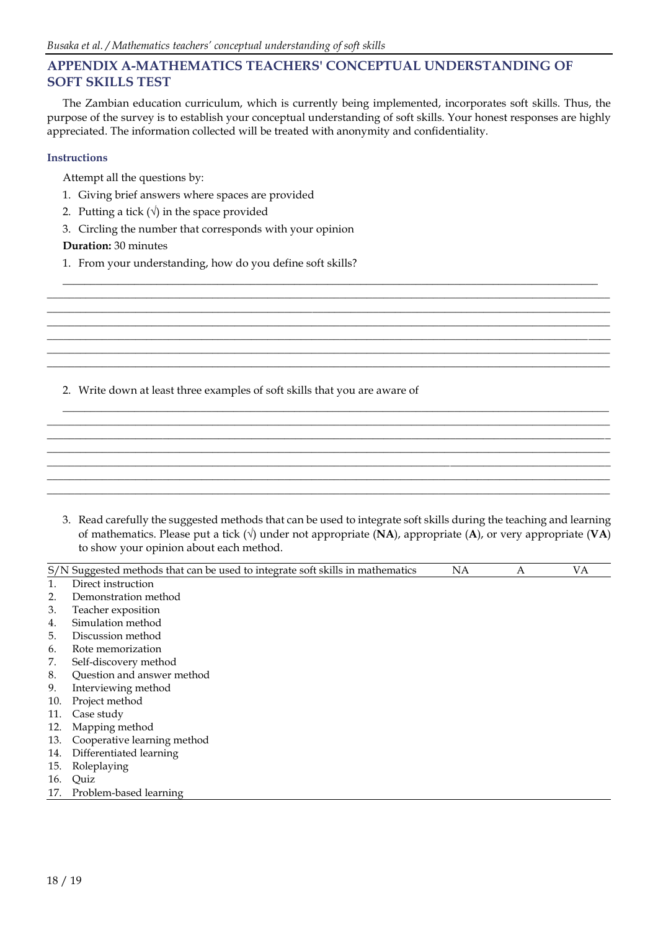# **APPENDIX A-MATHEMATICS TEACHERS' CONCEPTUAL UNDERSTANDING OF SOFT SKILLS TEST**

The Zambian education curriculum, which is currently being implemented, incorporates soft skills. Thus, the purpose of the survey is to establish your conceptual understanding of soft skills. Your honest responses are highly appreciated. The information collected will be treated with anonymity and confidentiality.

\_\_\_\_\_\_\_\_\_\_\_\_\_\_\_\_\_\_\_\_\_\_\_\_\_\_\_\_\_\_\_\_\_\_\_\_\_\_\_\_\_\_\_\_\_\_\_\_\_\_\_\_\_\_\_\_\_\_\_\_\_\_\_\_\_\_\_\_\_\_\_\_\_\_\_\_\_\_\_\_\_\_\_\_\_\_\_\_\_\_\_\_\_\_\_\_\_ \_\_\_\_\_\_\_\_\_\_\_\_\_\_\_\_\_\_\_\_\_\_\_\_\_\_\_\_\_\_\_\_\_\_\_\_\_\_\_\_\_\_\_\_\_\_\_\_\_\_\_\_\_\_\_\_\_\_\_\_\_\_\_\_\_\_\_\_\_\_\_\_\_\_\_\_\_\_\_\_\_\_\_\_\_\_\_\_\_\_\_\_\_\_\_\_\_\_\_\_\_\_ \_\_\_\_\_\_\_\_\_\_\_\_\_\_\_\_\_\_\_\_\_\_\_\_\_\_\_\_\_\_\_\_\_\_\_\_\_\_\_\_\_\_\_\_\_\_\_\_\_\_\_\_\_\_\_\_\_\_\_\_\_\_\_\_\_\_\_\_\_\_\_\_\_\_\_\_\_\_\_\_\_\_\_\_\_\_\_\_\_\_\_\_\_\_\_\_\_\_\_\_\_\_ \_\_\_\_\_\_\_\_\_\_\_\_\_\_\_\_\_\_\_\_\_\_\_\_\_\_\_\_\_\_\_\_\_\_\_\_\_\_\_\_\_\_\_\_\_\_\_\_\_\_\_\_\_\_\_\_\_\_\_\_\_\_\_\_\_\_\_\_\_\_\_\_\_\_\_\_\_\_\_\_\_\_\_\_\_\_\_\_\_\_\_\_\_\_\_\_\_\_\_\_\_\_ \_\_\_\_\_\_\_\_\_\_\_\_\_\_\_\_\_\_\_\_\_\_\_\_\_\_\_\_\_\_\_\_\_\_\_\_\_\_\_\_\_\_\_\_\_\_\_\_\_\_\_\_\_\_\_\_\_\_\_\_\_\_\_\_\_\_\_\_\_\_\_\_\_\_\_\_\_\_\_\_\_\_\_\_\_\_\_\_\_\_\_\_\_\_\_\_\_\_\_\_\_\_ \_\_\_\_\_\_\_\_\_\_\_\_\_\_\_\_\_\_\_\_\_\_\_\_\_\_\_\_\_\_\_\_\_\_\_\_\_\_\_\_\_\_\_\_\_\_\_\_\_\_\_\_\_\_\_\_\_\_\_\_\_\_\_\_\_\_\_\_\_\_\_\_\_\_\_\_\_\_\_\_\_\_\_\_\_\_\_\_\_\_\_\_\_\_\_\_\_\_\_\_\_\_ \_\_\_\_\_\_\_\_\_\_\_\_\_\_\_\_\_\_\_\_\_\_\_\_\_\_\_\_\_\_\_\_\_\_\_\_\_\_\_\_\_\_\_\_\_\_\_\_\_\_\_\_\_\_\_\_\_\_\_\_\_\_\_\_\_\_\_\_\_\_\_\_\_\_\_\_\_\_\_\_\_\_\_\_\_\_\_\_\_\_\_\_\_\_\_\_\_\_\_\_\_\_

#### **Instructions**

Attempt all the questions by:

- 1. Giving brief answers where spaces are provided
- 2. Putting a tick  $(\sqrt{})$  in the space provided
- 3. Circling the number that corresponds with your opinion

## **Duration:** 30 minutes

1. From your understanding, how do you define soft skills?

2. Write down at least three examples of soft skills that you are aware of



\_\_\_\_\_\_\_\_\_\_\_\_\_\_\_\_\_\_\_\_\_\_\_\_\_\_\_\_\_\_\_\_\_\_\_\_\_\_\_\_\_\_\_\_\_\_\_\_\_\_\_\_\_\_\_\_\_\_\_\_\_\_\_\_\_\_\_\_\_\_\_\_\_\_\_\_\_\_\_\_\_\_\_\_\_\_\_\_\_\_\_\_\_\_\_\_\_\_\_ \_\_\_\_\_\_\_\_\_\_\_\_\_\_\_\_\_\_\_\_\_\_\_\_\_\_\_\_\_\_\_\_\_\_\_\_\_\_\_\_\_\_\_\_\_\_\_\_\_\_\_\_\_\_\_\_\_\_\_\_\_\_\_\_\_\_\_\_\_\_\_\_\_\_\_\_\_\_\_\_\_\_\_\_\_\_\_\_\_\_\_\_\_\_\_\_\_\_\_\_\_\_ \_\_\_\_\_\_\_\_\_\_\_\_\_\_\_\_\_\_\_\_\_\_\_\_\_\_\_\_\_\_\_\_\_\_\_\_\_\_\_\_\_\_\_\_\_\_\_\_\_\_\_\_\_\_\_\_\_\_\_\_\_\_\_\_\_\_\_\_\_\_\_\_\_\_\_\_\_\_\_\_\_\_\_\_\_\_\_\_\_\_\_\_\_\_\_\_\_\_\_\_\_\_

3. Read carefully the suggested methods that can be used to integrate soft skills during the teaching and learning of mathematics. Please put a tick (√) under not appropriate (**NA**), appropriate (**A**), or very appropriate (**VA**) to show your opinion about each method.

|     | S/N Suggested methods that can be used to integrate soft skills in mathematics | NA | А | VA |
|-----|--------------------------------------------------------------------------------|----|---|----|
|     | Direct instruction                                                             |    |   |    |
|     | Demonstration method                                                           |    |   |    |
| 3.  | Teacher exposition                                                             |    |   |    |
| 4.  | Simulation method                                                              |    |   |    |
| 5.  | Discussion method                                                              |    |   |    |
| 6.  | Rote memorization                                                              |    |   |    |
| 7.  | Self-discovery method                                                          |    |   |    |
| 8.  | Question and answer method                                                     |    |   |    |
| 9.  | Interviewing method                                                            |    |   |    |
| 10. | Project method                                                                 |    |   |    |
| 11. | Case study                                                                     |    |   |    |
| 12. | Mapping method                                                                 |    |   |    |
| 13. | Cooperative learning method                                                    |    |   |    |
| 14. | Differentiated learning                                                        |    |   |    |
| 15. | Roleplaying                                                                    |    |   |    |
| 16. | Quiz                                                                           |    |   |    |
| 17. | Problem-based learning                                                         |    |   |    |